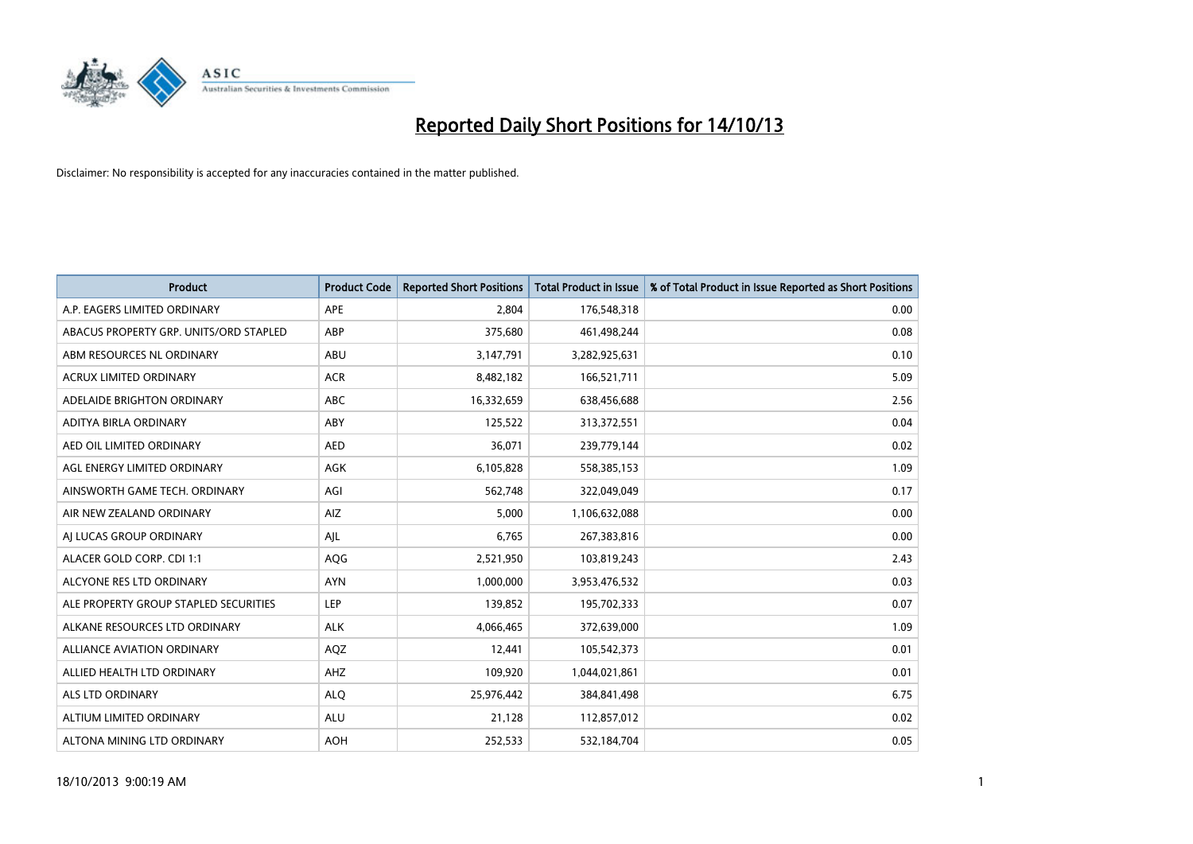

| <b>Product</b>                         | <b>Product Code</b> | <b>Reported Short Positions</b> | Total Product in Issue | % of Total Product in Issue Reported as Short Positions |
|----------------------------------------|---------------------|---------------------------------|------------------------|---------------------------------------------------------|
| A.P. EAGERS LIMITED ORDINARY           | <b>APE</b>          | 2,804                           | 176,548,318            | 0.00                                                    |
| ABACUS PROPERTY GRP. UNITS/ORD STAPLED | ABP                 | 375,680                         | 461,498,244            | 0.08                                                    |
| ABM RESOURCES NL ORDINARY              | ABU                 | 3,147,791                       | 3,282,925,631          | 0.10                                                    |
| ACRUX LIMITED ORDINARY                 | <b>ACR</b>          | 8,482,182                       | 166,521,711            | 5.09                                                    |
| ADELAIDE BRIGHTON ORDINARY             | <b>ABC</b>          | 16,332,659                      | 638,456,688            | 2.56                                                    |
| ADITYA BIRLA ORDINARY                  | ABY                 | 125,522                         | 313,372,551            | 0.04                                                    |
| AED OIL LIMITED ORDINARY               | <b>AED</b>          | 36,071                          | 239,779,144            | 0.02                                                    |
| AGL ENERGY LIMITED ORDINARY            | AGK                 | 6,105,828                       | 558,385,153            | 1.09                                                    |
| AINSWORTH GAME TECH. ORDINARY          | AGI                 | 562,748                         | 322,049,049            | 0.17                                                    |
| AIR NEW ZEALAND ORDINARY               | AIZ                 | 5.000                           | 1,106,632,088          | 0.00                                                    |
| AI LUCAS GROUP ORDINARY                | AJL                 | 6,765                           | 267,383,816            | 0.00                                                    |
| ALACER GOLD CORP. CDI 1:1              | AQG                 | 2,521,950                       | 103,819,243            | 2.43                                                    |
| ALCYONE RES LTD ORDINARY               | <b>AYN</b>          | 1,000,000                       | 3,953,476,532          | 0.03                                                    |
| ALE PROPERTY GROUP STAPLED SECURITIES  | <b>LEP</b>          | 139,852                         | 195,702,333            | 0.07                                                    |
| ALKANE RESOURCES LTD ORDINARY          | <b>ALK</b>          | 4,066,465                       | 372,639,000            | 1.09                                                    |
| <b>ALLIANCE AVIATION ORDINARY</b>      | AQZ                 | 12,441                          | 105,542,373            | 0.01                                                    |
| ALLIED HEALTH LTD ORDINARY             | AHZ                 | 109,920                         | 1,044,021,861          | 0.01                                                    |
| ALS LTD ORDINARY                       | <b>ALO</b>          | 25,976,442                      | 384, 841, 498          | 6.75                                                    |
| ALTIUM LIMITED ORDINARY                | <b>ALU</b>          | 21,128                          | 112,857,012            | 0.02                                                    |
| ALTONA MINING LTD ORDINARY             | <b>AOH</b>          | 252,533                         | 532,184,704            | 0.05                                                    |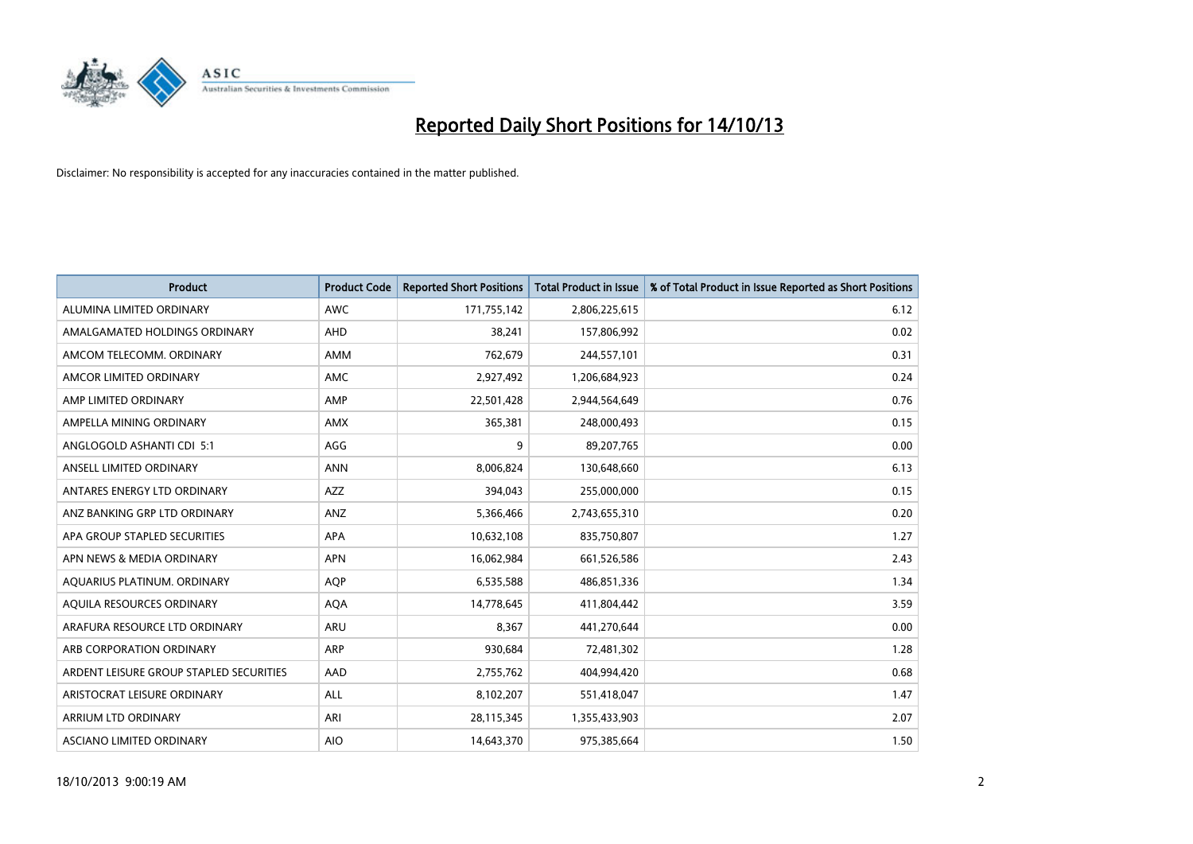

| <b>Product</b>                          | <b>Product Code</b> | <b>Reported Short Positions</b> | <b>Total Product in Issue</b> | % of Total Product in Issue Reported as Short Positions |
|-----------------------------------------|---------------------|---------------------------------|-------------------------------|---------------------------------------------------------|
| ALUMINA LIMITED ORDINARY                | <b>AWC</b>          | 171,755,142                     | 2,806,225,615                 | 6.12                                                    |
| AMALGAMATED HOLDINGS ORDINARY           | AHD                 | 38,241                          | 157,806,992                   | 0.02                                                    |
| AMCOM TELECOMM. ORDINARY                | AMM                 | 762,679                         | 244,557,101                   | 0.31                                                    |
| AMCOR LIMITED ORDINARY                  | AMC                 | 2,927,492                       | 1,206,684,923                 | 0.24                                                    |
| AMP LIMITED ORDINARY                    | AMP                 | 22,501,428                      | 2,944,564,649                 | 0.76                                                    |
| AMPELLA MINING ORDINARY                 | <b>AMX</b>          | 365,381                         | 248,000,493                   | 0.15                                                    |
| ANGLOGOLD ASHANTI CDI 5:1               | AGG                 | 9                               | 89,207,765                    | 0.00                                                    |
| ANSELL LIMITED ORDINARY                 | <b>ANN</b>          | 8,006,824                       | 130,648,660                   | 6.13                                                    |
| ANTARES ENERGY LTD ORDINARY             | AZZ                 | 394,043                         | 255,000,000                   | 0.15                                                    |
| ANZ BANKING GRP LTD ORDINARY            | ANZ                 | 5,366,466                       | 2,743,655,310                 | 0.20                                                    |
| APA GROUP STAPLED SECURITIES            | APA                 | 10,632,108                      | 835,750,807                   | 1.27                                                    |
| APN NEWS & MEDIA ORDINARY               | <b>APN</b>          | 16,062,984                      | 661,526,586                   | 2.43                                                    |
| AQUARIUS PLATINUM. ORDINARY             | <b>AQP</b>          | 6,535,588                       | 486,851,336                   | 1.34                                                    |
| AQUILA RESOURCES ORDINARY               | <b>AQA</b>          | 14,778,645                      | 411,804,442                   | 3.59                                                    |
| ARAFURA RESOURCE LTD ORDINARY           | ARU                 | 8,367                           | 441,270,644                   | 0.00                                                    |
| ARB CORPORATION ORDINARY                | ARP                 | 930,684                         | 72,481,302                    | 1.28                                                    |
| ARDENT LEISURE GROUP STAPLED SECURITIES | AAD                 | 2,755,762                       | 404,994,420                   | 0.68                                                    |
| ARISTOCRAT LEISURE ORDINARY             | ALL                 | 8,102,207                       | 551,418,047                   | 1.47                                                    |
| ARRIUM LTD ORDINARY                     | ARI                 | 28,115,345                      | 1,355,433,903                 | 2.07                                                    |
| ASCIANO LIMITED ORDINARY                | <b>AIO</b>          | 14,643,370                      | 975,385,664                   | 1.50                                                    |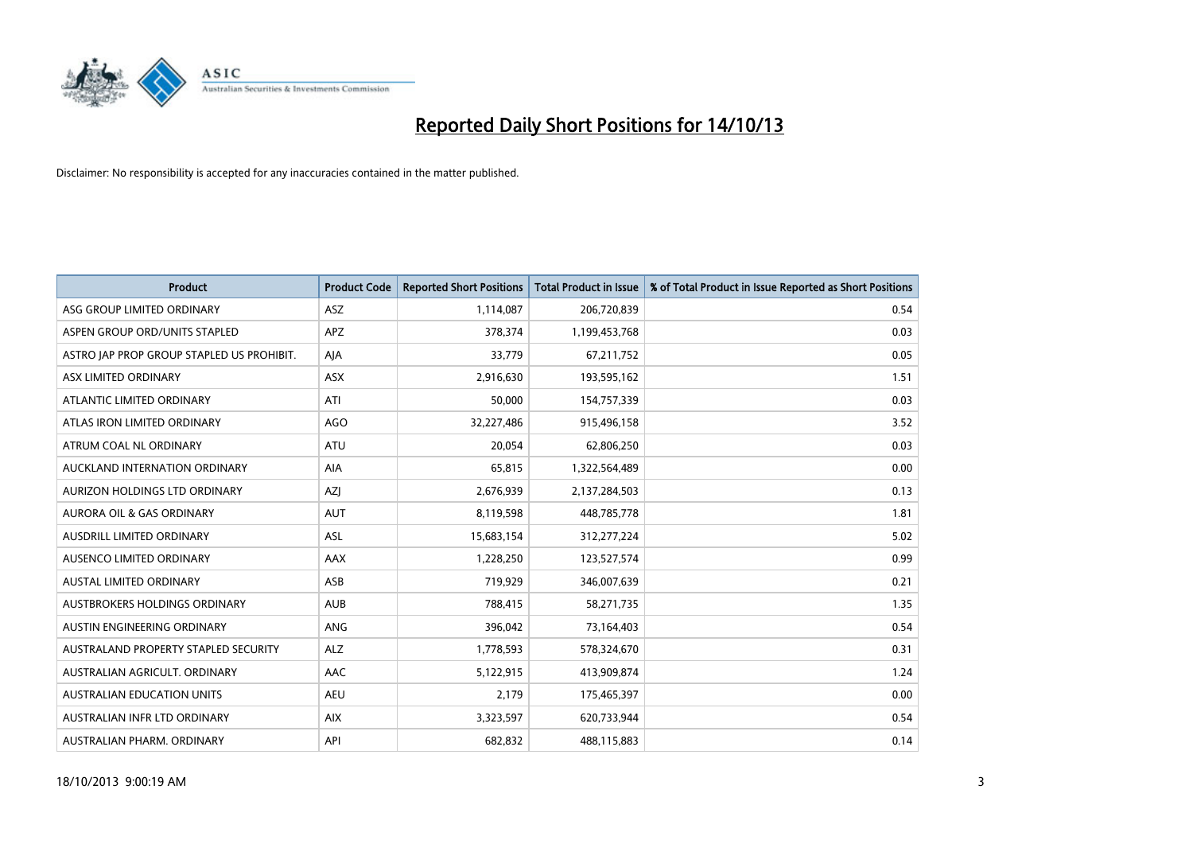

| <b>Product</b>                            | <b>Product Code</b> | <b>Reported Short Positions</b> | <b>Total Product in Issue</b> | % of Total Product in Issue Reported as Short Positions |
|-------------------------------------------|---------------------|---------------------------------|-------------------------------|---------------------------------------------------------|
| ASG GROUP LIMITED ORDINARY                | ASZ                 | 1,114,087                       | 206,720,839                   | 0.54                                                    |
| ASPEN GROUP ORD/UNITS STAPLED             | APZ                 | 378,374                         | 1,199,453,768                 | 0.03                                                    |
| ASTRO JAP PROP GROUP STAPLED US PROHIBIT. | AJA                 | 33,779                          | 67,211,752                    | 0.05                                                    |
| ASX LIMITED ORDINARY                      | ASX                 | 2,916,630                       | 193,595,162                   | 1.51                                                    |
| ATLANTIC LIMITED ORDINARY                 | ATI                 | 50,000                          | 154,757,339                   | 0.03                                                    |
| ATLAS IRON LIMITED ORDINARY               | AGO                 | 32,227,486                      | 915,496,158                   | 3.52                                                    |
| ATRUM COAL NL ORDINARY                    | ATU                 | 20,054                          | 62,806,250                    | 0.03                                                    |
| AUCKLAND INTERNATION ORDINARY             | AIA                 | 65,815                          | 1,322,564,489                 | 0.00                                                    |
| AURIZON HOLDINGS LTD ORDINARY             | AZJ                 | 2,676,939                       | 2,137,284,503                 | 0.13                                                    |
| <b>AURORA OIL &amp; GAS ORDINARY</b>      | <b>AUT</b>          | 8,119,598                       | 448,785,778                   | 1.81                                                    |
| AUSDRILL LIMITED ORDINARY                 | <b>ASL</b>          | 15,683,154                      | 312,277,224                   | 5.02                                                    |
| AUSENCO LIMITED ORDINARY                  | AAX                 | 1,228,250                       | 123,527,574                   | 0.99                                                    |
| <b>AUSTAL LIMITED ORDINARY</b>            | ASB                 | 719,929                         | 346,007,639                   | 0.21                                                    |
| AUSTBROKERS HOLDINGS ORDINARY             | <b>AUB</b>          | 788,415                         | 58,271,735                    | 1.35                                                    |
| AUSTIN ENGINEERING ORDINARY               | ANG                 | 396,042                         | 73,164,403                    | 0.54                                                    |
| AUSTRALAND PROPERTY STAPLED SECURITY      | <b>ALZ</b>          | 1,778,593                       | 578,324,670                   | 0.31                                                    |
| AUSTRALIAN AGRICULT. ORDINARY             | AAC                 | 5,122,915                       | 413,909,874                   | 1.24                                                    |
| AUSTRALIAN EDUCATION UNITS                | <b>AEU</b>          | 2,179                           | 175,465,397                   | 0.00                                                    |
| AUSTRALIAN INFR LTD ORDINARY              | <b>AIX</b>          | 3,323,597                       | 620,733,944                   | 0.54                                                    |
| AUSTRALIAN PHARM. ORDINARY                | API                 | 682,832                         | 488,115,883                   | 0.14                                                    |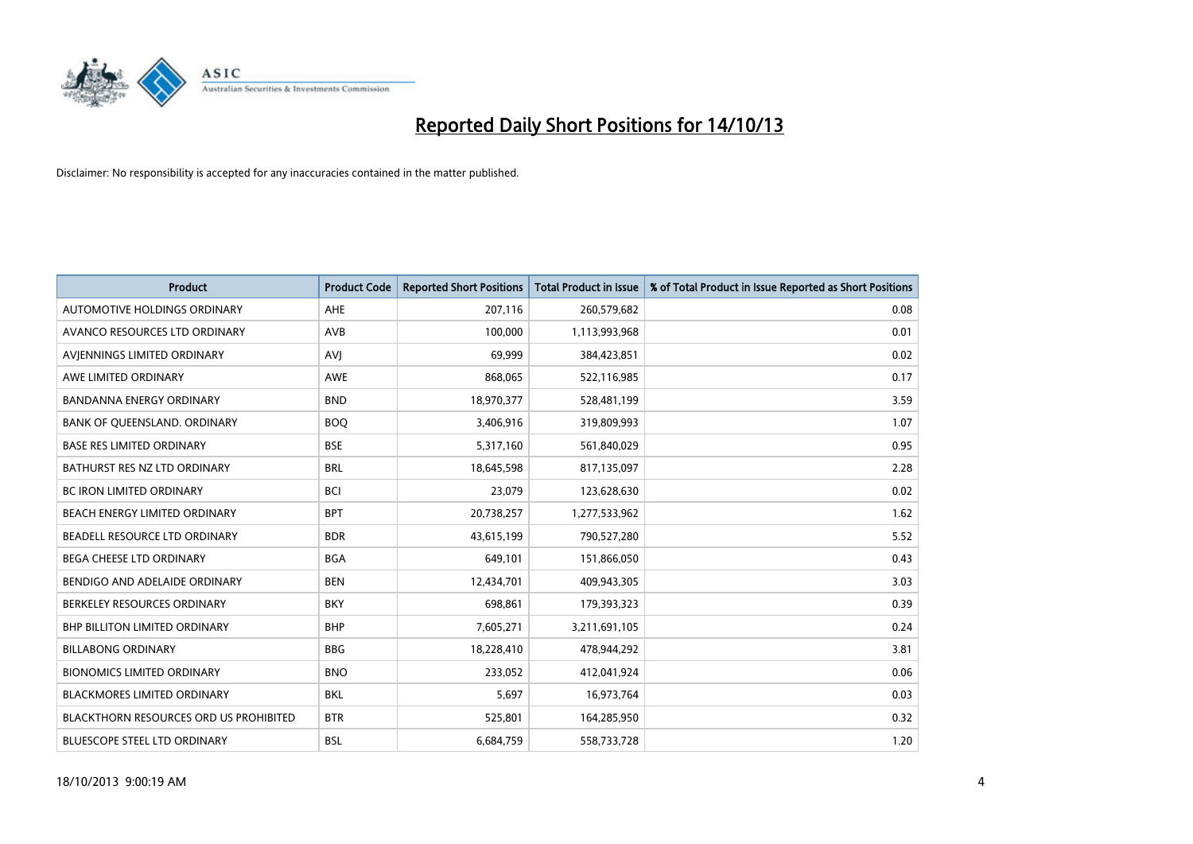

| <b>Product</b>                                | <b>Product Code</b> | <b>Reported Short Positions</b> | <b>Total Product in Issue</b> | % of Total Product in Issue Reported as Short Positions |
|-----------------------------------------------|---------------------|---------------------------------|-------------------------------|---------------------------------------------------------|
| AUTOMOTIVE HOLDINGS ORDINARY                  | AHE                 | 207,116                         | 260,579,682                   | 0.08                                                    |
| AVANCO RESOURCES LTD ORDINARY                 | AVB                 | 100,000                         | 1,113,993,968                 | 0.01                                                    |
| AVIENNINGS LIMITED ORDINARY                   | <b>AVI</b>          | 69,999                          | 384,423,851                   | 0.02                                                    |
| AWE LIMITED ORDINARY                          | AWE                 | 868,065                         | 522,116,985                   | 0.17                                                    |
| <b>BANDANNA ENERGY ORDINARY</b>               | <b>BND</b>          | 18,970,377                      | 528,481,199                   | 3.59                                                    |
| BANK OF QUEENSLAND. ORDINARY                  | <b>BOQ</b>          | 3,406,916                       | 319,809,993                   | 1.07                                                    |
| <b>BASE RES LIMITED ORDINARY</b>              | <b>BSE</b>          | 5,317,160                       | 561,840,029                   | 0.95                                                    |
| BATHURST RES NZ LTD ORDINARY                  | <b>BRL</b>          | 18,645,598                      | 817,135,097                   | 2.28                                                    |
| <b>BC IRON LIMITED ORDINARY</b>               | <b>BCI</b>          | 23,079                          | 123,628,630                   | 0.02                                                    |
| BEACH ENERGY LIMITED ORDINARY                 | <b>BPT</b>          | 20,738,257                      | 1,277,533,962                 | 1.62                                                    |
| BEADELL RESOURCE LTD ORDINARY                 | <b>BDR</b>          | 43,615,199                      | 790,527,280                   | 5.52                                                    |
| BEGA CHEESE LTD ORDINARY                      | <b>BGA</b>          | 649,101                         | 151,866,050                   | 0.43                                                    |
| BENDIGO AND ADELAIDE ORDINARY                 | <b>BEN</b>          | 12,434,701                      | 409,943,305                   | 3.03                                                    |
| BERKELEY RESOURCES ORDINARY                   | <b>BKY</b>          | 698,861                         | 179,393,323                   | 0.39                                                    |
| <b>BHP BILLITON LIMITED ORDINARY</b>          | <b>BHP</b>          | 7,605,271                       | 3,211,691,105                 | 0.24                                                    |
| <b>BILLABONG ORDINARY</b>                     | <b>BBG</b>          | 18,228,410                      | 478,944,292                   | 3.81                                                    |
| <b>BIONOMICS LIMITED ORDINARY</b>             | <b>BNO</b>          | 233,052                         | 412,041,924                   | 0.06                                                    |
| <b>BLACKMORES LIMITED ORDINARY</b>            | <b>BKL</b>          | 5,697                           | 16,973,764                    | 0.03                                                    |
| <b>BLACKTHORN RESOURCES ORD US PROHIBITED</b> | <b>BTR</b>          | 525,801                         | 164,285,950                   | 0.32                                                    |
| <b>BLUESCOPE STEEL LTD ORDINARY</b>           | <b>BSL</b>          | 6,684,759                       | 558,733,728                   | 1.20                                                    |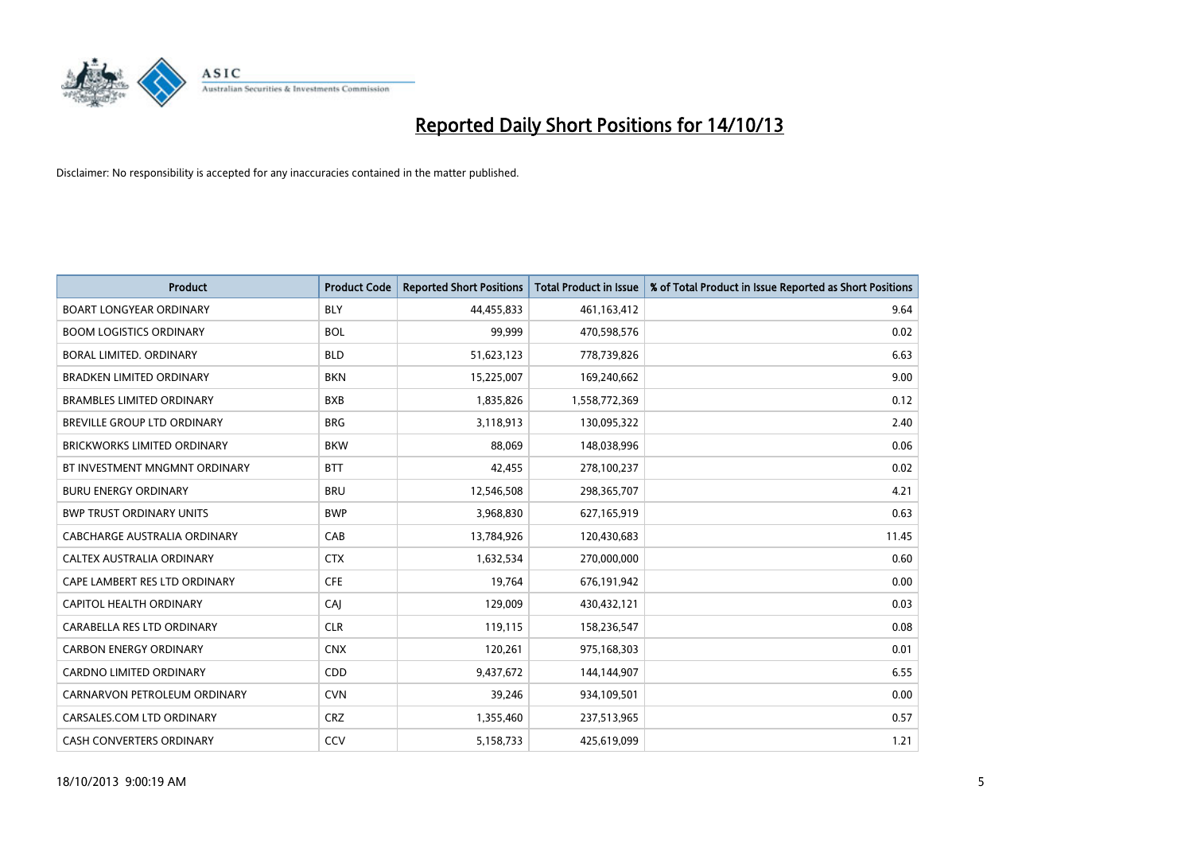

| <b>Product</b>                     | <b>Product Code</b> | <b>Reported Short Positions</b> | <b>Total Product in Issue</b> | % of Total Product in Issue Reported as Short Positions |
|------------------------------------|---------------------|---------------------------------|-------------------------------|---------------------------------------------------------|
| <b>BOART LONGYEAR ORDINARY</b>     | <b>BLY</b>          | 44,455,833                      | 461,163,412                   | 9.64                                                    |
| <b>BOOM LOGISTICS ORDINARY</b>     | <b>BOL</b>          | 99,999                          | 470,598,576                   | 0.02                                                    |
| BORAL LIMITED, ORDINARY            | <b>BLD</b>          | 51,623,123                      | 778,739,826                   | 6.63                                                    |
| <b>BRADKEN LIMITED ORDINARY</b>    | <b>BKN</b>          | 15,225,007                      | 169,240,662                   | 9.00                                                    |
| <b>BRAMBLES LIMITED ORDINARY</b>   | <b>BXB</b>          | 1,835,826                       | 1,558,772,369                 | 0.12                                                    |
| <b>BREVILLE GROUP LTD ORDINARY</b> | <b>BRG</b>          | 3,118,913                       | 130,095,322                   | 2.40                                                    |
| <b>BRICKWORKS LIMITED ORDINARY</b> | <b>BKW</b>          | 88,069                          | 148,038,996                   | 0.06                                                    |
| BT INVESTMENT MNGMNT ORDINARY      | <b>BTT</b>          | 42,455                          | 278,100,237                   | 0.02                                                    |
| <b>BURU ENERGY ORDINARY</b>        | <b>BRU</b>          | 12,546,508                      | 298,365,707                   | 4.21                                                    |
| <b>BWP TRUST ORDINARY UNITS</b>    | <b>BWP</b>          | 3,968,830                       | 627,165,919                   | 0.63                                                    |
| CABCHARGE AUSTRALIA ORDINARY       | CAB                 | 13,784,926                      | 120,430,683                   | 11.45                                                   |
| CALTEX AUSTRALIA ORDINARY          | <b>CTX</b>          | 1,632,534                       | 270,000,000                   | 0.60                                                    |
| CAPE LAMBERT RES LTD ORDINARY      | <b>CFE</b>          | 19,764                          | 676,191,942                   | 0.00                                                    |
| CAPITOL HEALTH ORDINARY            | <b>CAJ</b>          | 129,009                         | 430,432,121                   | 0.03                                                    |
| CARABELLA RES LTD ORDINARY         | <b>CLR</b>          | 119,115                         | 158,236,547                   | 0.08                                                    |
| <b>CARBON ENERGY ORDINARY</b>      | <b>CNX</b>          | 120,261                         | 975,168,303                   | 0.01                                                    |
| CARDNO LIMITED ORDINARY            | CDD                 | 9,437,672                       | 144,144,907                   | 6.55                                                    |
| CARNARVON PETROLEUM ORDINARY       | <b>CVN</b>          | 39,246                          | 934,109,501                   | 0.00                                                    |
| CARSALES.COM LTD ORDINARY          | <b>CRZ</b>          | 1,355,460                       | 237,513,965                   | 0.57                                                    |
| <b>CASH CONVERTERS ORDINARY</b>    | CCV                 | 5,158,733                       | 425,619,099                   | 1.21                                                    |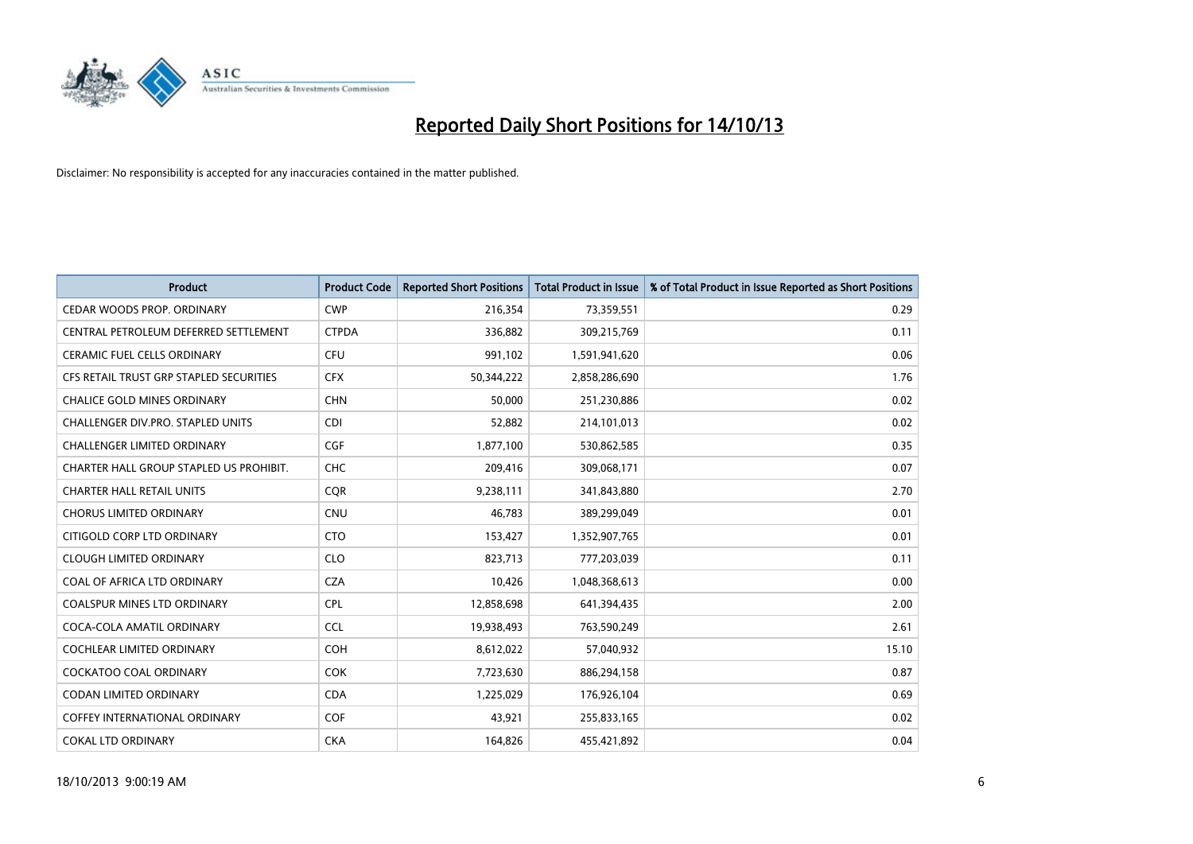

| <b>Product</b>                          | <b>Product Code</b> | <b>Reported Short Positions</b> | <b>Total Product in Issue</b> | % of Total Product in Issue Reported as Short Positions |
|-----------------------------------------|---------------------|---------------------------------|-------------------------------|---------------------------------------------------------|
| CEDAR WOODS PROP. ORDINARY              | <b>CWP</b>          | 216,354                         | 73,359,551                    | 0.29                                                    |
| CENTRAL PETROLEUM DEFERRED SETTLEMENT   | <b>CTPDA</b>        | 336,882                         | 309,215,769                   | 0.11                                                    |
| <b>CERAMIC FUEL CELLS ORDINARY</b>      | <b>CFU</b>          | 991,102                         | 1,591,941,620                 | 0.06                                                    |
| CFS RETAIL TRUST GRP STAPLED SECURITIES | <b>CFX</b>          | 50,344,222                      | 2,858,286,690                 | 1.76                                                    |
| <b>CHALICE GOLD MINES ORDINARY</b>      | <b>CHN</b>          | 50,000                          | 251,230,886                   | 0.02                                                    |
| CHALLENGER DIV.PRO. STAPLED UNITS       | <b>CDI</b>          | 52,882                          | 214,101,013                   | 0.02                                                    |
| <b>CHALLENGER LIMITED ORDINARY</b>      | <b>CGF</b>          | 1,877,100                       | 530,862,585                   | 0.35                                                    |
| CHARTER HALL GROUP STAPLED US PROHIBIT. | <b>CHC</b>          | 209,416                         | 309,068,171                   | 0.07                                                    |
| <b>CHARTER HALL RETAIL UNITS</b>        | <b>CQR</b>          | 9,238,111                       | 341,843,880                   | 2.70                                                    |
| <b>CHORUS LIMITED ORDINARY</b>          | <b>CNU</b>          | 46,783                          | 389,299,049                   | 0.01                                                    |
| CITIGOLD CORP LTD ORDINARY              | <b>CTO</b>          | 153,427                         | 1,352,907,765                 | 0.01                                                    |
| <b>CLOUGH LIMITED ORDINARY</b>          | <b>CLO</b>          | 823,713                         | 777,203,039                   | 0.11                                                    |
| COAL OF AFRICA LTD ORDINARY             | <b>CZA</b>          | 10,426                          | 1,048,368,613                 | 0.00                                                    |
| <b>COALSPUR MINES LTD ORDINARY</b>      | <b>CPL</b>          | 12,858,698                      | 641,394,435                   | 2.00                                                    |
| COCA-COLA AMATIL ORDINARY               | <b>CCL</b>          | 19,938,493                      | 763,590,249                   | 2.61                                                    |
| <b>COCHLEAR LIMITED ORDINARY</b>        | <b>COH</b>          | 8,612,022                       | 57,040,932                    | 15.10                                                   |
| COCKATOO COAL ORDINARY                  | <b>COK</b>          | 7,723,630                       | 886,294,158                   | 0.87                                                    |
| <b>CODAN LIMITED ORDINARY</b>           | <b>CDA</b>          | 1,225,029                       | 176,926,104                   | 0.69                                                    |
| <b>COFFEY INTERNATIONAL ORDINARY</b>    | <b>COF</b>          | 43,921                          | 255,833,165                   | 0.02                                                    |
| <b>COKAL LTD ORDINARY</b>               | <b>CKA</b>          | 164,826                         | 455,421,892                   | 0.04                                                    |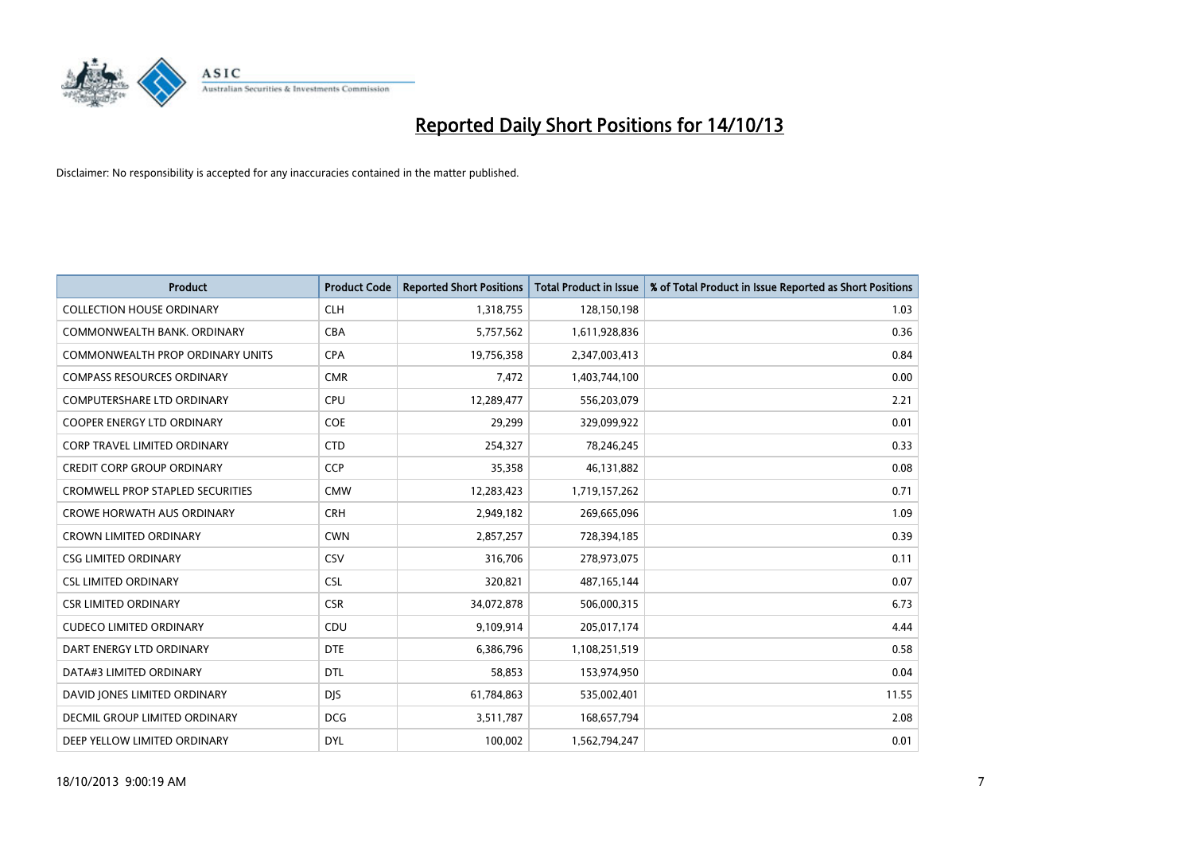

| <b>Product</b>                          | <b>Product Code</b> | <b>Reported Short Positions</b> | <b>Total Product in Issue</b> | % of Total Product in Issue Reported as Short Positions |
|-----------------------------------------|---------------------|---------------------------------|-------------------------------|---------------------------------------------------------|
| <b>COLLECTION HOUSE ORDINARY</b>        | <b>CLH</b>          | 1,318,755                       | 128,150,198                   | 1.03                                                    |
| COMMONWEALTH BANK, ORDINARY             | <b>CBA</b>          | 5,757,562                       | 1,611,928,836                 | 0.36                                                    |
| <b>COMMONWEALTH PROP ORDINARY UNITS</b> | <b>CPA</b>          | 19,756,358                      | 2,347,003,413                 | 0.84                                                    |
| <b>COMPASS RESOURCES ORDINARY</b>       | <b>CMR</b>          | 7,472                           | 1,403,744,100                 | 0.00                                                    |
| <b>COMPUTERSHARE LTD ORDINARY</b>       | <b>CPU</b>          | 12,289,477                      | 556,203,079                   | 2.21                                                    |
| <b>COOPER ENERGY LTD ORDINARY</b>       | <b>COE</b>          | 29,299                          | 329,099,922                   | 0.01                                                    |
| <b>CORP TRAVEL LIMITED ORDINARY</b>     | <b>CTD</b>          | 254,327                         | 78,246,245                    | 0.33                                                    |
| <b>CREDIT CORP GROUP ORDINARY</b>       | <b>CCP</b>          | 35,358                          | 46,131,882                    | 0.08                                                    |
| <b>CROMWELL PROP STAPLED SECURITIES</b> | <b>CMW</b>          | 12,283,423                      | 1,719,157,262                 | 0.71                                                    |
| <b>CROWE HORWATH AUS ORDINARY</b>       | <b>CRH</b>          | 2,949,182                       | 269,665,096                   | 1.09                                                    |
| <b>CROWN LIMITED ORDINARY</b>           | <b>CWN</b>          | 2,857,257                       | 728,394,185                   | 0.39                                                    |
| <b>CSG LIMITED ORDINARY</b>             | CSV                 | 316,706                         | 278,973,075                   | 0.11                                                    |
| <b>CSL LIMITED ORDINARY</b>             | <b>CSL</b>          | 320,821                         | 487, 165, 144                 | 0.07                                                    |
| <b>CSR LIMITED ORDINARY</b>             | <b>CSR</b>          | 34,072,878                      | 506,000,315                   | 6.73                                                    |
| <b>CUDECO LIMITED ORDINARY</b>          | CDU                 | 9,109,914                       | 205,017,174                   | 4.44                                                    |
| DART ENERGY LTD ORDINARY                | <b>DTE</b>          | 6,386,796                       | 1,108,251,519                 | 0.58                                                    |
| DATA#3 LIMITED ORDINARY                 | <b>DTL</b>          | 58,853                          | 153,974,950                   | 0.04                                                    |
| DAVID JONES LIMITED ORDINARY            | <b>DJS</b>          | 61,784,863                      | 535,002,401                   | 11.55                                                   |
| <b>DECMIL GROUP LIMITED ORDINARY</b>    | <b>DCG</b>          | 3,511,787                       | 168,657,794                   | 2.08                                                    |
| DEEP YELLOW LIMITED ORDINARY            | <b>DYL</b>          | 100,002                         | 1,562,794,247                 | 0.01                                                    |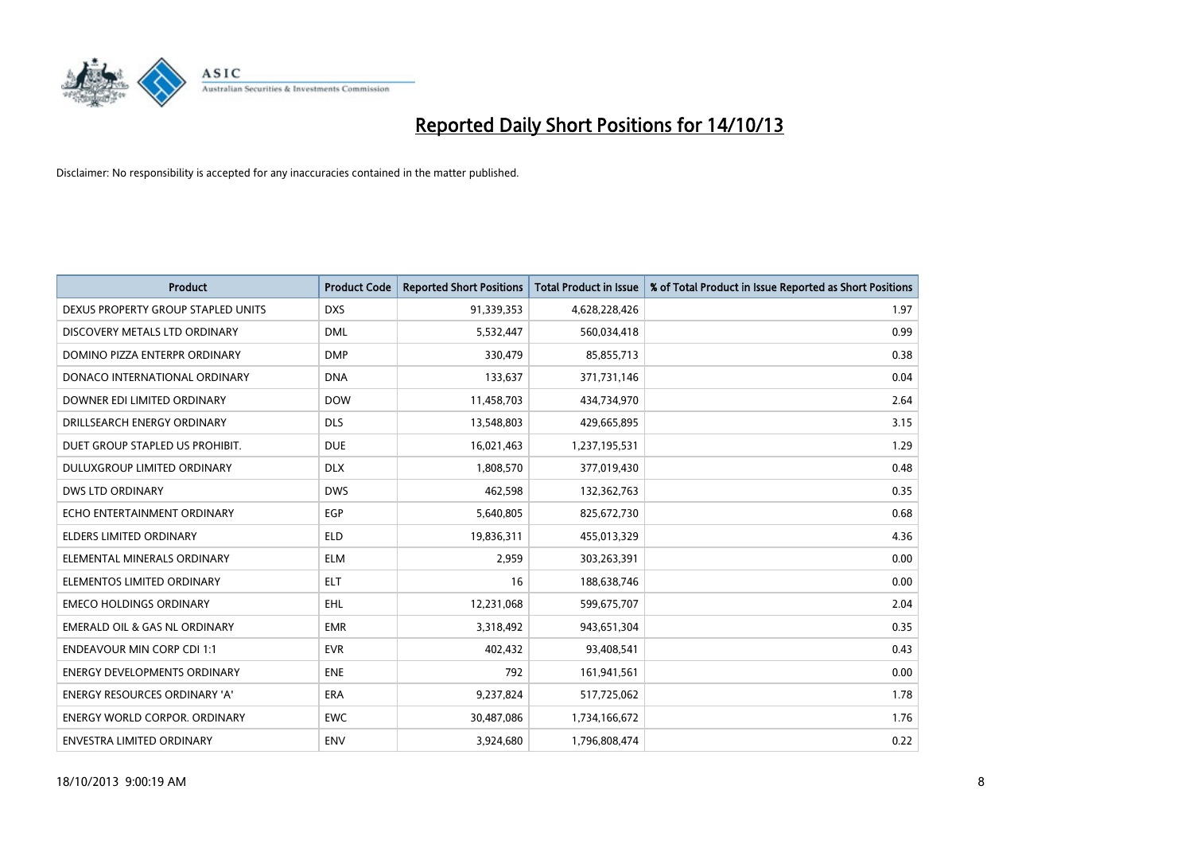

| <b>Product</b>                       | <b>Product Code</b> | <b>Reported Short Positions</b> | <b>Total Product in Issue</b> | % of Total Product in Issue Reported as Short Positions |
|--------------------------------------|---------------------|---------------------------------|-------------------------------|---------------------------------------------------------|
| DEXUS PROPERTY GROUP STAPLED UNITS   | <b>DXS</b>          | 91,339,353                      | 4,628,228,426                 | 1.97                                                    |
| DISCOVERY METALS LTD ORDINARY        | <b>DML</b>          | 5,532,447                       | 560,034,418                   | 0.99                                                    |
| DOMINO PIZZA ENTERPR ORDINARY        | <b>DMP</b>          | 330,479                         | 85,855,713                    | 0.38                                                    |
| DONACO INTERNATIONAL ORDINARY        | <b>DNA</b>          | 133,637                         | 371,731,146                   | 0.04                                                    |
| DOWNER EDI LIMITED ORDINARY          | <b>DOW</b>          | 11,458,703                      | 434,734,970                   | 2.64                                                    |
| DRILLSEARCH ENERGY ORDINARY          | <b>DLS</b>          | 13,548,803                      | 429,665,895                   | 3.15                                                    |
| DUET GROUP STAPLED US PROHIBIT.      | <b>DUE</b>          | 16,021,463                      | 1,237,195,531                 | 1.29                                                    |
| DULUXGROUP LIMITED ORDINARY          | <b>DLX</b>          | 1,808,570                       | 377,019,430                   | 0.48                                                    |
| <b>DWS LTD ORDINARY</b>              | <b>DWS</b>          | 462,598                         | 132,362,763                   | 0.35                                                    |
| ECHO ENTERTAINMENT ORDINARY          | EGP                 | 5,640,805                       | 825,672,730                   | 0.68                                                    |
| <b>ELDERS LIMITED ORDINARY</b>       | <b>ELD</b>          | 19,836,311                      | 455,013,329                   | 4.36                                                    |
| ELEMENTAL MINERALS ORDINARY          | <b>ELM</b>          | 2,959                           | 303,263,391                   | 0.00                                                    |
| ELEMENTOS LIMITED ORDINARY           | <b>ELT</b>          | 16                              | 188,638,746                   | 0.00                                                    |
| <b>EMECO HOLDINGS ORDINARY</b>       | <b>EHL</b>          | 12,231,068                      | 599,675,707                   | 2.04                                                    |
| EMERALD OIL & GAS NL ORDINARY        | <b>EMR</b>          | 3,318,492                       | 943,651,304                   | 0.35                                                    |
| <b>ENDEAVOUR MIN CORP CDI 1:1</b>    | <b>EVR</b>          | 402,432                         | 93,408,541                    | 0.43                                                    |
| <b>ENERGY DEVELOPMENTS ORDINARY</b>  | <b>ENE</b>          | 792                             | 161,941,561                   | 0.00                                                    |
| ENERGY RESOURCES ORDINARY 'A'        | <b>ERA</b>          | 9,237,824                       | 517,725,062                   | 1.78                                                    |
| <b>ENERGY WORLD CORPOR, ORDINARY</b> | <b>EWC</b>          | 30,487,086                      | 1,734,166,672                 | 1.76                                                    |
| ENVESTRA LIMITED ORDINARY            | <b>ENV</b>          | 3,924,680                       | 1,796,808,474                 | 0.22                                                    |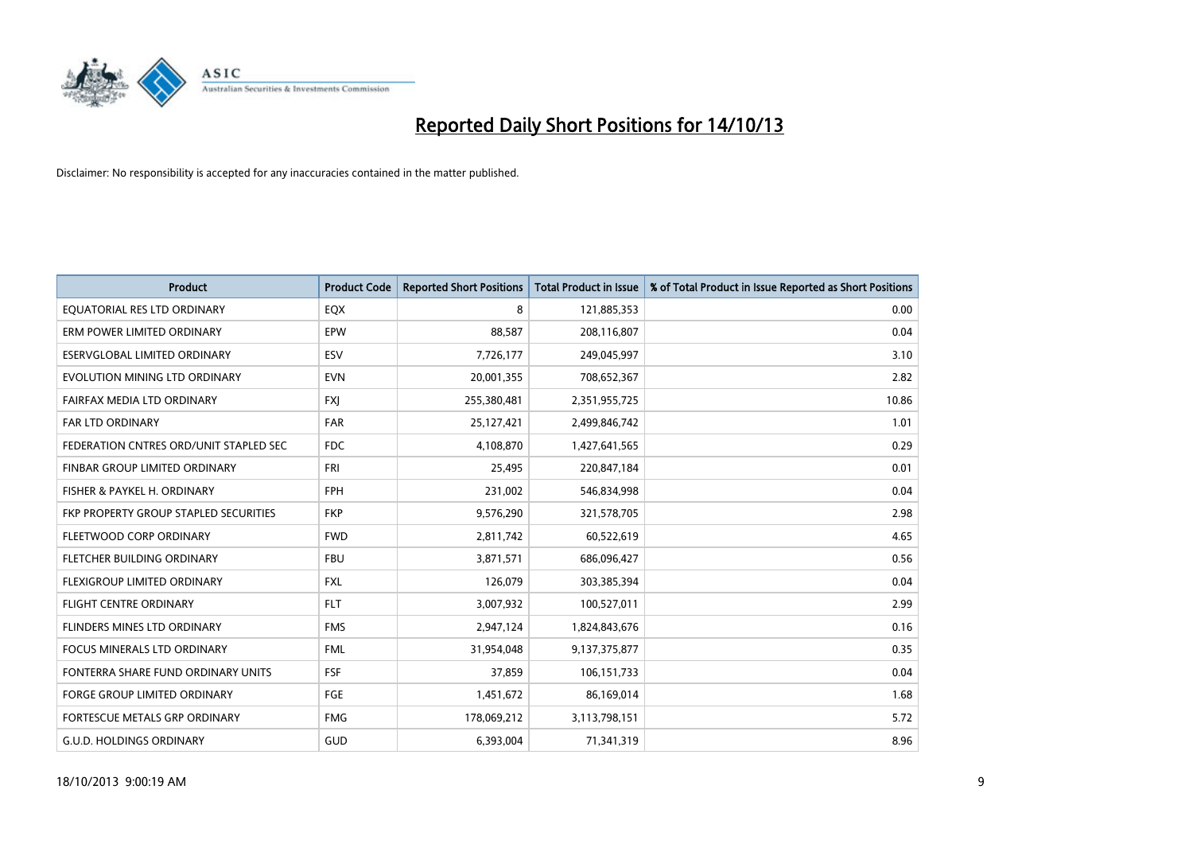

| <b>Product</b>                         | <b>Product Code</b> | <b>Reported Short Positions</b> | <b>Total Product in Issue</b> | % of Total Product in Issue Reported as Short Positions |
|----------------------------------------|---------------------|---------------------------------|-------------------------------|---------------------------------------------------------|
| EQUATORIAL RES LTD ORDINARY            | EQX                 | 8                               | 121,885,353                   | 0.00                                                    |
| ERM POWER LIMITED ORDINARY             | <b>EPW</b>          | 88,587                          | 208,116,807                   | 0.04                                                    |
| ESERVGLOBAL LIMITED ORDINARY           | ESV                 | 7,726,177                       | 249,045,997                   | 3.10                                                    |
| EVOLUTION MINING LTD ORDINARY          | <b>EVN</b>          | 20,001,355                      | 708,652,367                   | 2.82                                                    |
| FAIRFAX MEDIA LTD ORDINARY             | <b>FXI</b>          | 255,380,481                     | 2,351,955,725                 | 10.86                                                   |
| <b>FAR LTD ORDINARY</b>                | <b>FAR</b>          | 25,127,421                      | 2,499,846,742                 | 1.01                                                    |
| FEDERATION CNTRES ORD/UNIT STAPLED SEC | FDC                 | 4,108,870                       | 1,427,641,565                 | 0.29                                                    |
| FINBAR GROUP LIMITED ORDINARY          | <b>FRI</b>          | 25,495                          | 220,847,184                   | 0.01                                                    |
| FISHER & PAYKEL H. ORDINARY            | <b>FPH</b>          | 231,002                         | 546,834,998                   | 0.04                                                    |
| FKP PROPERTY GROUP STAPLED SECURITIES  | <b>FKP</b>          | 9,576,290                       | 321,578,705                   | 2.98                                                    |
| FLEETWOOD CORP ORDINARY                | <b>FWD</b>          | 2,811,742                       | 60,522,619                    | 4.65                                                    |
| FLETCHER BUILDING ORDINARY             | <b>FBU</b>          | 3,871,571                       | 686,096,427                   | 0.56                                                    |
| FLEXIGROUP LIMITED ORDINARY            | <b>FXL</b>          | 126,079                         | 303,385,394                   | 0.04                                                    |
| <b>FLIGHT CENTRE ORDINARY</b>          | <b>FLT</b>          | 3,007,932                       | 100,527,011                   | 2.99                                                    |
| FLINDERS MINES LTD ORDINARY            | <b>FMS</b>          | 2,947,124                       | 1,824,843,676                 | 0.16                                                    |
| FOCUS MINERALS LTD ORDINARY            | <b>FML</b>          | 31,954,048                      | 9,137,375,877                 | 0.35                                                    |
| FONTERRA SHARE FUND ORDINARY UNITS     | <b>FSF</b>          | 37,859                          | 106, 151, 733                 | 0.04                                                    |
| FORGE GROUP LIMITED ORDINARY           | FGE                 | 1,451,672                       | 86,169,014                    | 1.68                                                    |
| FORTESCUE METALS GRP ORDINARY          | <b>FMG</b>          | 178,069,212                     | 3,113,798,151                 | 5.72                                                    |
| <b>G.U.D. HOLDINGS ORDINARY</b>        | GUD                 | 6,393,004                       | 71,341,319                    | 8.96                                                    |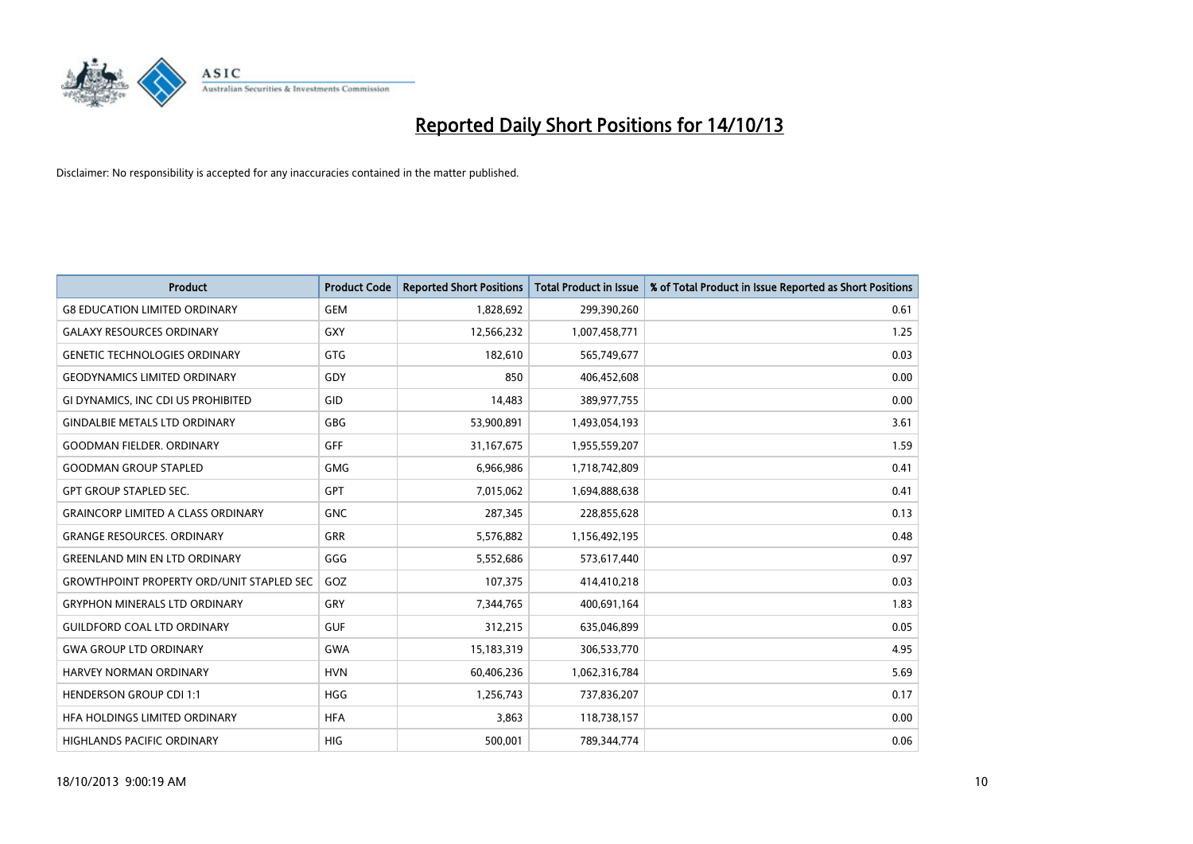

| <b>Product</b>                                   | <b>Product Code</b> | <b>Reported Short Positions</b> | <b>Total Product in Issue</b> | % of Total Product in Issue Reported as Short Positions |
|--------------------------------------------------|---------------------|---------------------------------|-------------------------------|---------------------------------------------------------|
| <b>G8 EDUCATION LIMITED ORDINARY</b>             | <b>GEM</b>          | 1,828,692                       | 299,390,260                   | 0.61                                                    |
| <b>GALAXY RESOURCES ORDINARY</b>                 | <b>GXY</b>          | 12,566,232                      | 1,007,458,771                 | 1.25                                                    |
| <b>GENETIC TECHNOLOGIES ORDINARY</b>             | <b>GTG</b>          | 182,610                         | 565,749,677                   | 0.03                                                    |
| <b>GEODYNAMICS LIMITED ORDINARY</b>              | GDY                 | 850                             | 406,452,608                   | 0.00                                                    |
| GI DYNAMICS, INC CDI US PROHIBITED               | GID                 | 14,483                          | 389,977,755                   | 0.00                                                    |
| <b>GINDALBIE METALS LTD ORDINARY</b>             | GBG                 | 53,900,891                      | 1,493,054,193                 | 3.61                                                    |
| <b>GOODMAN FIELDER. ORDINARY</b>                 | <b>GFF</b>          | 31,167,675                      | 1,955,559,207                 | 1.59                                                    |
| <b>GOODMAN GROUP STAPLED</b>                     | GMG                 | 6,966,986                       | 1,718,742,809                 | 0.41                                                    |
| <b>GPT GROUP STAPLED SEC.</b>                    | <b>GPT</b>          | 7,015,062                       | 1,694,888,638                 | 0.41                                                    |
| <b>GRAINCORP LIMITED A CLASS ORDINARY</b>        | <b>GNC</b>          | 287,345                         | 228,855,628                   | 0.13                                                    |
| <b>GRANGE RESOURCES. ORDINARY</b>                | GRR                 | 5,576,882                       | 1,156,492,195                 | 0.48                                                    |
| <b>GREENLAND MIN EN LTD ORDINARY</b>             | GGG                 | 5,552,686                       | 573,617,440                   | 0.97                                                    |
| <b>GROWTHPOINT PROPERTY ORD/UNIT STAPLED SEC</b> | GOZ                 | 107,375                         | 414,410,218                   | 0.03                                                    |
| <b>GRYPHON MINERALS LTD ORDINARY</b>             | GRY                 | 7,344,765                       | 400,691,164                   | 1.83                                                    |
| <b>GUILDFORD COAL LTD ORDINARY</b>               | <b>GUF</b>          | 312,215                         | 635,046,899                   | 0.05                                                    |
| <b>GWA GROUP LTD ORDINARY</b>                    | <b>GWA</b>          | 15,183,319                      | 306,533,770                   | 4.95                                                    |
| HARVEY NORMAN ORDINARY                           | <b>HVN</b>          | 60,406,236                      | 1,062,316,784                 | 5.69                                                    |
| <b>HENDERSON GROUP CDI 1:1</b>                   | <b>HGG</b>          | 1,256,743                       | 737,836,207                   | 0.17                                                    |
| HEA HOLDINGS LIMITED ORDINARY                    | <b>HFA</b>          | 3,863                           | 118,738,157                   | 0.00                                                    |
| <b>HIGHLANDS PACIFIC ORDINARY</b>                | <b>HIG</b>          | 500,001                         | 789,344,774                   | 0.06                                                    |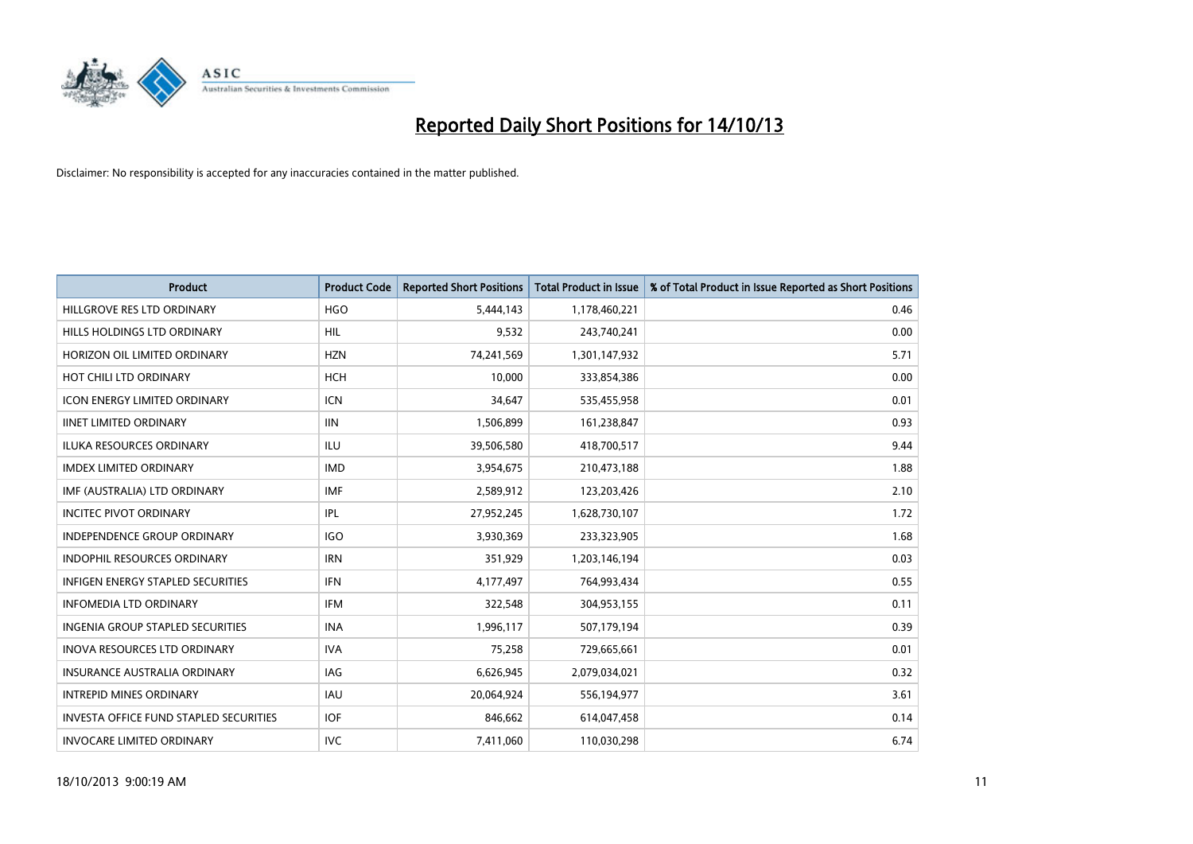

| <b>Product</b>                                | <b>Product Code</b> | <b>Reported Short Positions</b> | <b>Total Product in Issue</b> | % of Total Product in Issue Reported as Short Positions |
|-----------------------------------------------|---------------------|---------------------------------|-------------------------------|---------------------------------------------------------|
| HILLGROVE RES LTD ORDINARY                    | <b>HGO</b>          | 5,444,143                       | 1,178,460,221                 | 0.46                                                    |
| HILLS HOLDINGS LTD ORDINARY                   | HIL                 | 9,532                           | 243,740,241                   | 0.00                                                    |
| HORIZON OIL LIMITED ORDINARY                  | <b>HZN</b>          | 74,241,569                      | 1,301,147,932                 | 5.71                                                    |
| HOT CHILI LTD ORDINARY                        | <b>HCH</b>          | 10,000                          | 333,854,386                   | 0.00                                                    |
| <b>ICON ENERGY LIMITED ORDINARY</b>           | <b>ICN</b>          | 34,647                          | 535,455,958                   | 0.01                                                    |
| <b>IINET LIMITED ORDINARY</b>                 | <b>IIN</b>          | 1,506,899                       | 161,238,847                   | 0.93                                                    |
| <b>ILUKA RESOURCES ORDINARY</b>               | ILU                 | 39,506,580                      | 418,700,517                   | 9.44                                                    |
| <b>IMDEX LIMITED ORDINARY</b>                 | <b>IMD</b>          | 3,954,675                       | 210,473,188                   | 1.88                                                    |
| IMF (AUSTRALIA) LTD ORDINARY                  | <b>IMF</b>          | 2,589,912                       | 123,203,426                   | 2.10                                                    |
| <b>INCITEC PIVOT ORDINARY</b>                 | IPL                 | 27,952,245                      | 1,628,730,107                 | 1.72                                                    |
| INDEPENDENCE GROUP ORDINARY                   | <b>IGO</b>          | 3,930,369                       | 233,323,905                   | 1.68                                                    |
| <b>INDOPHIL RESOURCES ORDINARY</b>            | <b>IRN</b>          | 351,929                         | 1,203,146,194                 | 0.03                                                    |
| INFIGEN ENERGY STAPLED SECURITIES             | <b>IFN</b>          | 4,177,497                       | 764,993,434                   | 0.55                                                    |
| <b>INFOMEDIA LTD ORDINARY</b>                 | <b>IFM</b>          | 322,548                         | 304,953,155                   | 0.11                                                    |
| <b>INGENIA GROUP STAPLED SECURITIES</b>       | <b>INA</b>          | 1,996,117                       | 507,179,194                   | 0.39                                                    |
| INOVA RESOURCES LTD ORDINARY                  | <b>IVA</b>          | 75,258                          | 729,665,661                   | 0.01                                                    |
| INSURANCE AUSTRALIA ORDINARY                  | IAG                 | 6,626,945                       | 2,079,034,021                 | 0.32                                                    |
| <b>INTREPID MINES ORDINARY</b>                | <b>IAU</b>          | 20,064,924                      | 556,194,977                   | 3.61                                                    |
| <b>INVESTA OFFICE FUND STAPLED SECURITIES</b> | <b>IOF</b>          | 846,662                         | 614,047,458                   | 0.14                                                    |
| <b>INVOCARE LIMITED ORDINARY</b>              | <b>IVC</b>          | 7,411,060                       | 110,030,298                   | 6.74                                                    |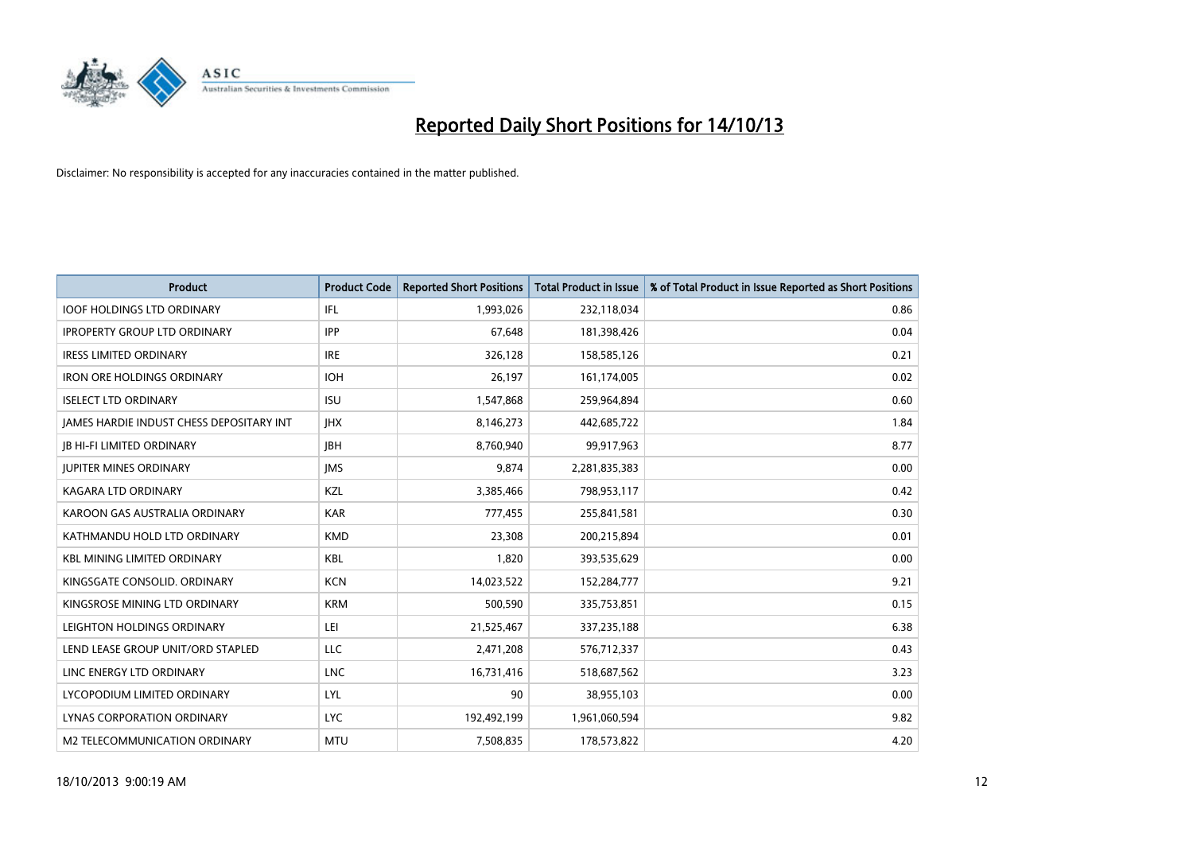

| <b>Product</b>                           | <b>Product Code</b> | <b>Reported Short Positions</b> | <b>Total Product in Issue</b> | % of Total Product in Issue Reported as Short Positions |
|------------------------------------------|---------------------|---------------------------------|-------------------------------|---------------------------------------------------------|
| <b>IOOF HOLDINGS LTD ORDINARY</b>        | IFL                 | 1,993,026                       | 232,118,034                   | 0.86                                                    |
| <b>IPROPERTY GROUP LTD ORDINARY</b>      | <b>IPP</b>          | 67,648                          | 181,398,426                   | 0.04                                                    |
| <b>IRESS LIMITED ORDINARY</b>            | <b>IRE</b>          | 326,128                         | 158,585,126                   | 0.21                                                    |
| IRON ORE HOLDINGS ORDINARY               | <b>IOH</b>          | 26,197                          | 161,174,005                   | 0.02                                                    |
| <b>ISELECT LTD ORDINARY</b>              | <b>ISU</b>          | 1,547,868                       | 259,964,894                   | 0.60                                                    |
| JAMES HARDIE INDUST CHESS DEPOSITARY INT | <b>IHX</b>          | 8,146,273                       | 442,685,722                   | 1.84                                                    |
| <b>JB HI-FI LIMITED ORDINARY</b>         | <b>IBH</b>          | 8,760,940                       | 99,917,963                    | 8.77                                                    |
| <b>JUPITER MINES ORDINARY</b>            | <b>IMS</b>          | 9,874                           | 2,281,835,383                 | 0.00                                                    |
| <b>KAGARA LTD ORDINARY</b>               | KZL                 | 3,385,466                       | 798,953,117                   | 0.42                                                    |
| KAROON GAS AUSTRALIA ORDINARY            | <b>KAR</b>          | 777,455                         | 255,841,581                   | 0.30                                                    |
| KATHMANDU HOLD LTD ORDINARY              | <b>KMD</b>          | 23,308                          | 200,215,894                   | 0.01                                                    |
| <b>KBL MINING LIMITED ORDINARY</b>       | <b>KBL</b>          | 1,820                           | 393,535,629                   | 0.00                                                    |
| KINGSGATE CONSOLID. ORDINARY             | <b>KCN</b>          | 14,023,522                      | 152,284,777                   | 9.21                                                    |
| KINGSROSE MINING LTD ORDINARY            | <b>KRM</b>          | 500,590                         | 335,753,851                   | 0.15                                                    |
| LEIGHTON HOLDINGS ORDINARY               | LEI                 | 21,525,467                      | 337,235,188                   | 6.38                                                    |
| LEND LEASE GROUP UNIT/ORD STAPLED        | LLC                 | 2,471,208                       | 576,712,337                   | 0.43                                                    |
| LINC ENERGY LTD ORDINARY                 | <b>LNC</b>          | 16,731,416                      | 518,687,562                   | 3.23                                                    |
| LYCOPODIUM LIMITED ORDINARY              | <b>LYL</b>          | 90                              | 38,955,103                    | 0.00                                                    |
| LYNAS CORPORATION ORDINARY               | <b>LYC</b>          | 192,492,199                     | 1,961,060,594                 | 9.82                                                    |
| M2 TELECOMMUNICATION ORDINARY            | <b>MTU</b>          | 7,508,835                       | 178,573,822                   | 4.20                                                    |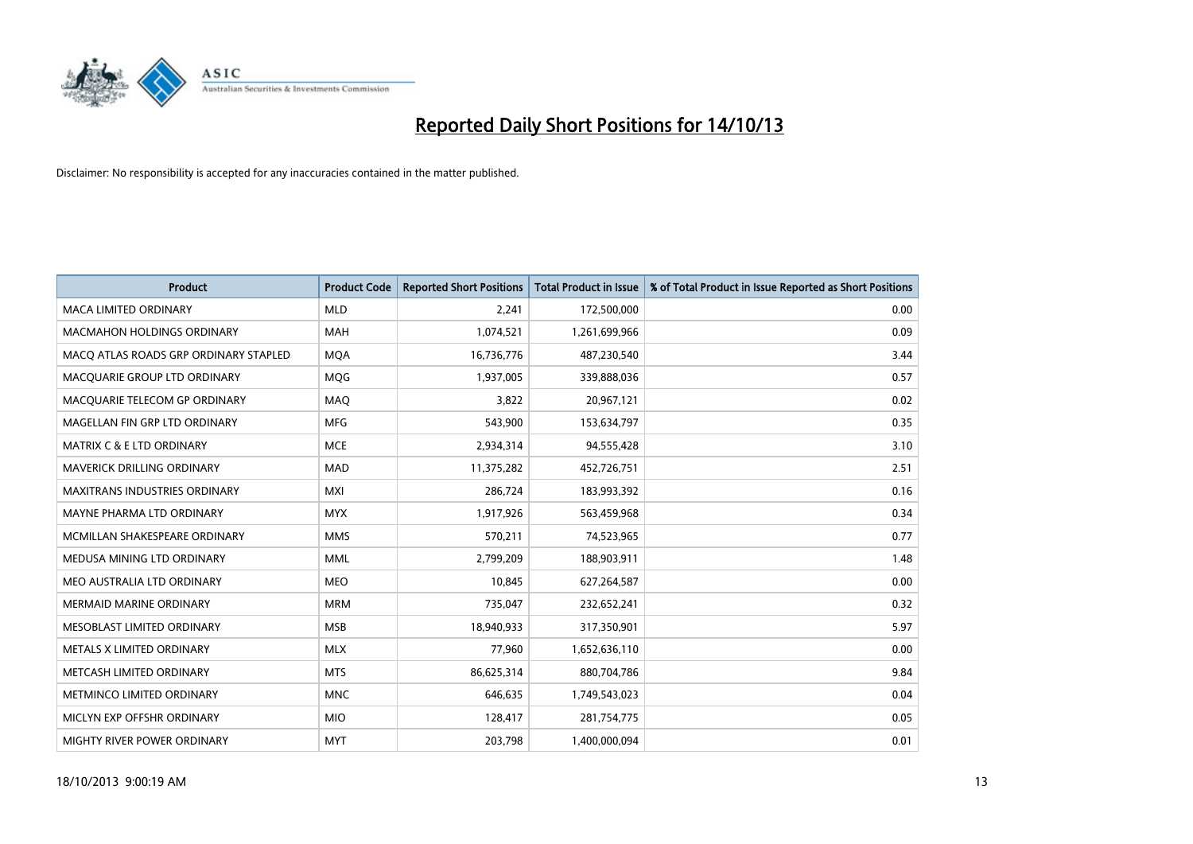

| <b>Product</b>                        | <b>Product Code</b> | <b>Reported Short Positions</b> | <b>Total Product in Issue</b> | % of Total Product in Issue Reported as Short Positions |
|---------------------------------------|---------------------|---------------------------------|-------------------------------|---------------------------------------------------------|
| <b>MACA LIMITED ORDINARY</b>          | <b>MLD</b>          | 2,241                           | 172,500,000                   | 0.00                                                    |
| <b>MACMAHON HOLDINGS ORDINARY</b>     | MAH                 | 1,074,521                       | 1,261,699,966                 | 0.09                                                    |
| MACO ATLAS ROADS GRP ORDINARY STAPLED | <b>MQA</b>          | 16,736,776                      | 487,230,540                   | 3.44                                                    |
| MACQUARIE GROUP LTD ORDINARY          | MQG                 | 1,937,005                       | 339,888,036                   | 0.57                                                    |
| MACQUARIE TELECOM GP ORDINARY         | MAQ                 | 3,822                           | 20,967,121                    | 0.02                                                    |
| MAGELLAN FIN GRP LTD ORDINARY         | <b>MFG</b>          | 543,900                         | 153,634,797                   | 0.35                                                    |
| <b>MATRIX C &amp; E LTD ORDINARY</b>  | <b>MCE</b>          | 2,934,314                       | 94,555,428                    | 3.10                                                    |
| MAVERICK DRILLING ORDINARY            | MAD                 | 11,375,282                      | 452,726,751                   | 2.51                                                    |
| MAXITRANS INDUSTRIES ORDINARY         | <b>MXI</b>          | 286,724                         | 183,993,392                   | 0.16                                                    |
| MAYNE PHARMA LTD ORDINARY             | <b>MYX</b>          | 1,917,926                       | 563,459,968                   | 0.34                                                    |
| MCMILLAN SHAKESPEARE ORDINARY         | <b>MMS</b>          | 570,211                         | 74,523,965                    | 0.77                                                    |
| MEDUSA MINING LTD ORDINARY            | <b>MML</b>          | 2,799,209                       | 188,903,911                   | 1.48                                                    |
| MEO AUSTRALIA LTD ORDINARY            | <b>MEO</b>          | 10,845                          | 627,264,587                   | 0.00                                                    |
| <b>MERMAID MARINE ORDINARY</b>        | <b>MRM</b>          | 735,047                         | 232,652,241                   | 0.32                                                    |
| MESOBLAST LIMITED ORDINARY            | <b>MSB</b>          | 18,940,933                      | 317,350,901                   | 5.97                                                    |
| METALS X LIMITED ORDINARY             | <b>MLX</b>          | 77,960                          | 1,652,636,110                 | 0.00                                                    |
| METCASH LIMITED ORDINARY              | <b>MTS</b>          | 86,625,314                      | 880,704,786                   | 9.84                                                    |
| METMINCO LIMITED ORDINARY             | <b>MNC</b>          | 646,635                         | 1,749,543,023                 | 0.04                                                    |
| MICLYN EXP OFFSHR ORDINARY            | <b>MIO</b>          | 128,417                         | 281,754,775                   | 0.05                                                    |
| MIGHTY RIVER POWER ORDINARY           | <b>MYT</b>          | 203,798                         | 1,400,000,094                 | 0.01                                                    |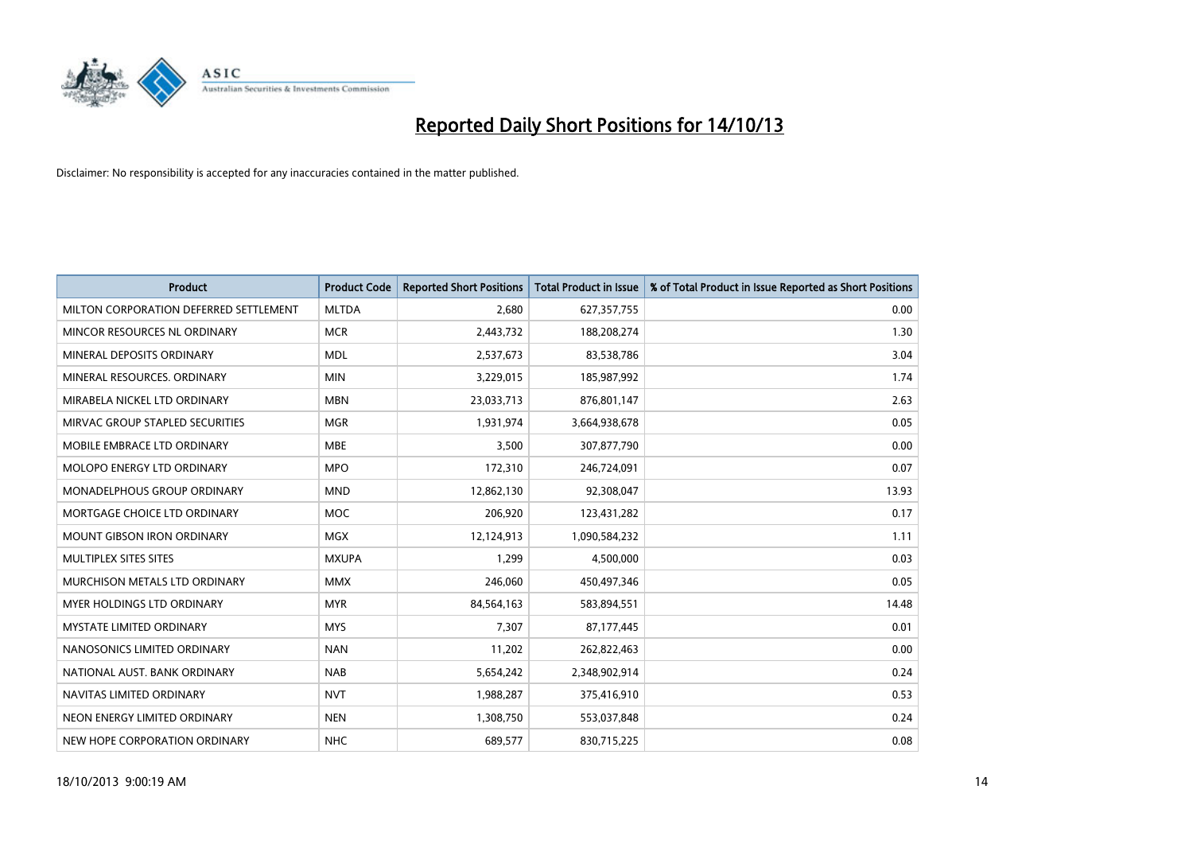

| <b>Product</b>                         | <b>Product Code</b> | <b>Reported Short Positions</b> | <b>Total Product in Issue</b> | % of Total Product in Issue Reported as Short Positions |
|----------------------------------------|---------------------|---------------------------------|-------------------------------|---------------------------------------------------------|
| MILTON CORPORATION DEFERRED SETTLEMENT | <b>MLTDA</b>        | 2,680                           | 627,357,755                   | 0.00                                                    |
| MINCOR RESOURCES NL ORDINARY           | <b>MCR</b>          | 2,443,732                       | 188,208,274                   | 1.30                                                    |
| MINERAL DEPOSITS ORDINARY              | <b>MDL</b>          | 2,537,673                       | 83,538,786                    | 3.04                                                    |
| MINERAL RESOURCES, ORDINARY            | <b>MIN</b>          | 3,229,015                       | 185,987,992                   | 1.74                                                    |
| MIRABELA NICKEL LTD ORDINARY           | <b>MBN</b>          | 23,033,713                      | 876,801,147                   | 2.63                                                    |
| MIRVAC GROUP STAPLED SECURITIES        | <b>MGR</b>          | 1,931,974                       | 3,664,938,678                 | 0.05                                                    |
| MOBILE EMBRACE LTD ORDINARY            | <b>MBE</b>          | 3,500                           | 307,877,790                   | 0.00                                                    |
| MOLOPO ENERGY LTD ORDINARY             | <b>MPO</b>          | 172,310                         | 246,724,091                   | 0.07                                                    |
| MONADELPHOUS GROUP ORDINARY            | <b>MND</b>          | 12,862,130                      | 92,308,047                    | 13.93                                                   |
| MORTGAGE CHOICE LTD ORDINARY           | <b>MOC</b>          | 206,920                         | 123,431,282                   | 0.17                                                    |
| <b>MOUNT GIBSON IRON ORDINARY</b>      | <b>MGX</b>          | 12,124,913                      | 1,090,584,232                 | 1.11                                                    |
| MULTIPLEX SITES SITES                  | <b>MXUPA</b>        | 1,299                           | 4,500,000                     | 0.03                                                    |
| MURCHISON METALS LTD ORDINARY          | <b>MMX</b>          | 246,060                         | 450,497,346                   | 0.05                                                    |
| MYER HOLDINGS LTD ORDINARY             | <b>MYR</b>          | 84,564,163                      | 583,894,551                   | 14.48                                                   |
| <b>MYSTATE LIMITED ORDINARY</b>        | <b>MYS</b>          | 7,307                           | 87,177,445                    | 0.01                                                    |
| NANOSONICS LIMITED ORDINARY            | <b>NAN</b>          | 11,202                          | 262,822,463                   | 0.00                                                    |
| NATIONAL AUST, BANK ORDINARY           | <b>NAB</b>          | 5,654,242                       | 2,348,902,914                 | 0.24                                                    |
| NAVITAS LIMITED ORDINARY               | <b>NVT</b>          | 1,988,287                       | 375,416,910                   | 0.53                                                    |
| NEON ENERGY LIMITED ORDINARY           | <b>NEN</b>          | 1,308,750                       | 553,037,848                   | 0.24                                                    |
| NEW HOPE CORPORATION ORDINARY          | <b>NHC</b>          | 689,577                         | 830,715,225                   | 0.08                                                    |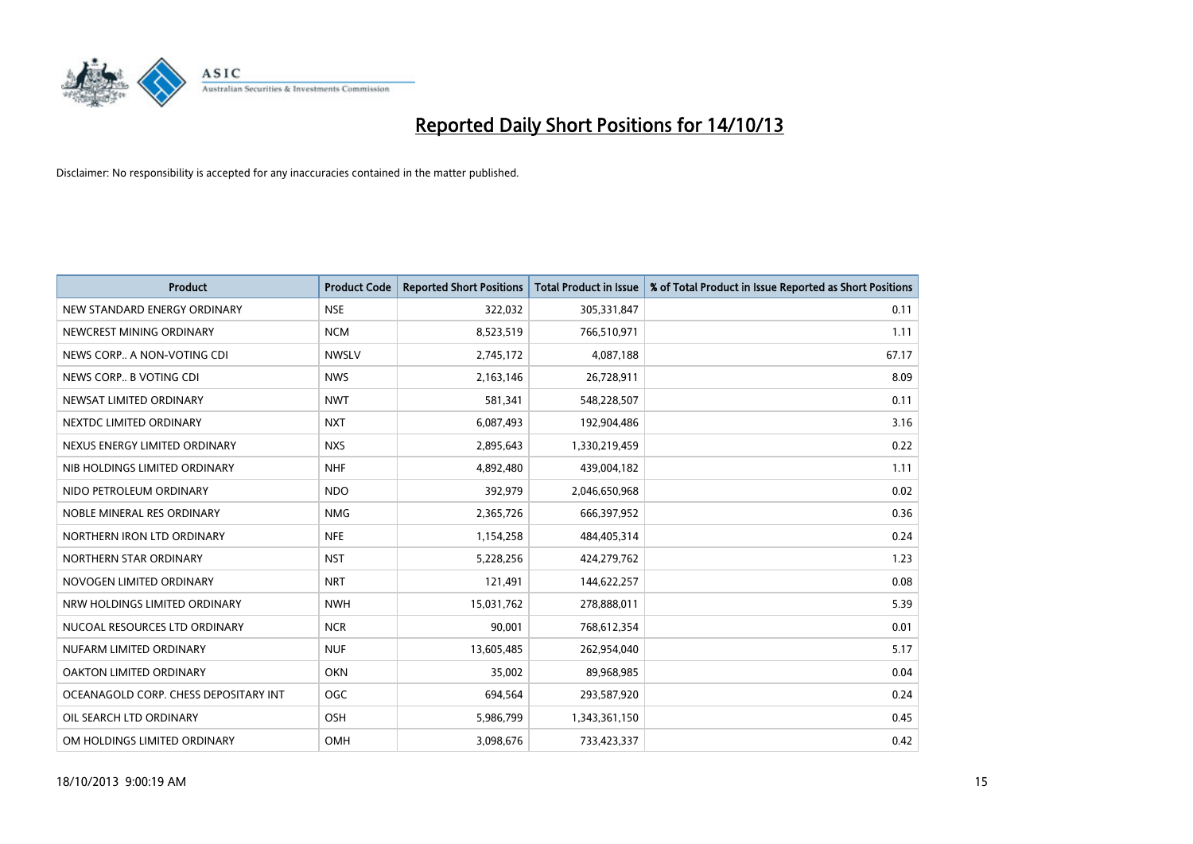

| <b>Product</b>                        | <b>Product Code</b> | <b>Reported Short Positions</b> | <b>Total Product in Issue</b> | % of Total Product in Issue Reported as Short Positions |
|---------------------------------------|---------------------|---------------------------------|-------------------------------|---------------------------------------------------------|
| NEW STANDARD ENERGY ORDINARY          | <b>NSE</b>          | 322,032                         | 305,331,847                   | 0.11                                                    |
| NEWCREST MINING ORDINARY              | <b>NCM</b>          | 8,523,519                       | 766,510,971                   | 1.11                                                    |
| NEWS CORP A NON-VOTING CDI            | <b>NWSLV</b>        | 2,745,172                       | 4,087,188                     | 67.17                                                   |
| NEWS CORP B VOTING CDI                | <b>NWS</b>          | 2,163,146                       | 26,728,911                    | 8.09                                                    |
| NEWSAT LIMITED ORDINARY               | <b>NWT</b>          | 581,341                         | 548,228,507                   | 0.11                                                    |
| NEXTDC LIMITED ORDINARY               | <b>NXT</b>          | 6,087,493                       | 192,904,486                   | 3.16                                                    |
| NEXUS ENERGY LIMITED ORDINARY         | <b>NXS</b>          | 2,895,643                       | 1,330,219,459                 | 0.22                                                    |
| NIB HOLDINGS LIMITED ORDINARY         | <b>NHF</b>          | 4,892,480                       | 439,004,182                   | 1.11                                                    |
| NIDO PETROLEUM ORDINARY               | <b>NDO</b>          | 392,979                         | 2,046,650,968                 | 0.02                                                    |
| NOBLE MINERAL RES ORDINARY            | <b>NMG</b>          | 2,365,726                       | 666,397,952                   | 0.36                                                    |
| NORTHERN IRON LTD ORDINARY            | <b>NFE</b>          | 1,154,258                       | 484,405,314                   | 0.24                                                    |
| NORTHERN STAR ORDINARY                | <b>NST</b>          | 5,228,256                       | 424,279,762                   | 1.23                                                    |
| NOVOGEN LIMITED ORDINARY              | <b>NRT</b>          | 121,491                         | 144,622,257                   | 0.08                                                    |
| NRW HOLDINGS LIMITED ORDINARY         | <b>NWH</b>          | 15,031,762                      | 278,888,011                   | 5.39                                                    |
| NUCOAL RESOURCES LTD ORDINARY         | <b>NCR</b>          | 90,001                          | 768,612,354                   | 0.01                                                    |
| NUFARM LIMITED ORDINARY               | <b>NUF</b>          | 13,605,485                      | 262,954,040                   | 5.17                                                    |
| OAKTON LIMITED ORDINARY               | <b>OKN</b>          | 35,002                          | 89,968,985                    | 0.04                                                    |
| OCEANAGOLD CORP. CHESS DEPOSITARY INT | <b>OGC</b>          | 694,564                         | 293,587,920                   | 0.24                                                    |
| OIL SEARCH LTD ORDINARY               | OSH                 | 5,986,799                       | 1,343,361,150                 | 0.45                                                    |
| OM HOLDINGS LIMITED ORDINARY          | OMH                 | 3,098,676                       | 733,423,337                   | 0.42                                                    |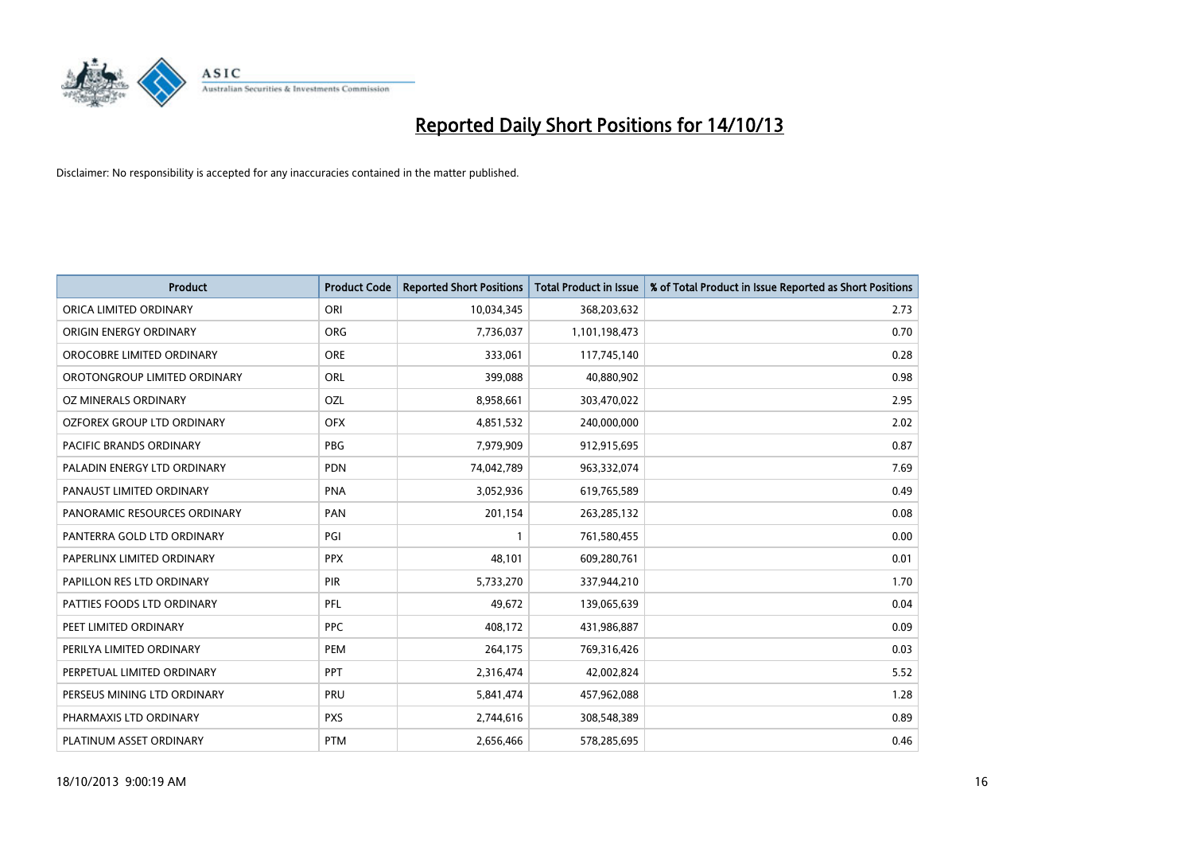

| <b>Product</b>               | <b>Product Code</b> | <b>Reported Short Positions</b> | <b>Total Product in Issue</b> | % of Total Product in Issue Reported as Short Positions |
|------------------------------|---------------------|---------------------------------|-------------------------------|---------------------------------------------------------|
| ORICA LIMITED ORDINARY       | ORI                 | 10,034,345                      | 368,203,632                   | 2.73                                                    |
| ORIGIN ENERGY ORDINARY       | <b>ORG</b>          | 7,736,037                       | 1,101,198,473                 | 0.70                                                    |
| OROCOBRE LIMITED ORDINARY    | <b>ORE</b>          | 333,061                         | 117,745,140                   | 0.28                                                    |
| OROTONGROUP LIMITED ORDINARY | <b>ORL</b>          | 399,088                         | 40,880,902                    | 0.98                                                    |
| OZ MINERALS ORDINARY         | OZL                 | 8,958,661                       | 303,470,022                   | 2.95                                                    |
| OZFOREX GROUP LTD ORDINARY   | <b>OFX</b>          | 4,851,532                       | 240,000,000                   | 2.02                                                    |
| PACIFIC BRANDS ORDINARY      | <b>PBG</b>          | 7,979,909                       | 912,915,695                   | 0.87                                                    |
| PALADIN ENERGY LTD ORDINARY  | <b>PDN</b>          | 74,042,789                      | 963,332,074                   | 7.69                                                    |
| PANAUST LIMITED ORDINARY     | <b>PNA</b>          | 3,052,936                       | 619,765,589                   | 0.49                                                    |
| PANORAMIC RESOURCES ORDINARY | PAN                 | 201,154                         | 263, 285, 132                 | 0.08                                                    |
| PANTERRA GOLD LTD ORDINARY   | PGI                 |                                 | 761,580,455                   | 0.00                                                    |
| PAPERLINX LIMITED ORDINARY   | <b>PPX</b>          | 48,101                          | 609,280,761                   | 0.01                                                    |
| PAPILLON RES LTD ORDINARY    | PIR                 | 5,733,270                       | 337,944,210                   | 1.70                                                    |
| PATTIES FOODS LTD ORDINARY   | PFL                 | 49,672                          | 139,065,639                   | 0.04                                                    |
| PEET LIMITED ORDINARY        | <b>PPC</b>          | 408,172                         | 431,986,887                   | 0.09                                                    |
| PERILYA LIMITED ORDINARY     | PEM                 | 264,175                         | 769,316,426                   | 0.03                                                    |
| PERPETUAL LIMITED ORDINARY   | <b>PPT</b>          | 2,316,474                       | 42,002,824                    | 5.52                                                    |
| PERSEUS MINING LTD ORDINARY  | <b>PRU</b>          | 5,841,474                       | 457,962,088                   | 1.28                                                    |
| PHARMAXIS LTD ORDINARY       | <b>PXS</b>          | 2,744,616                       | 308,548,389                   | 0.89                                                    |
| PLATINUM ASSET ORDINARY      | <b>PTM</b>          | 2,656,466                       | 578,285,695                   | 0.46                                                    |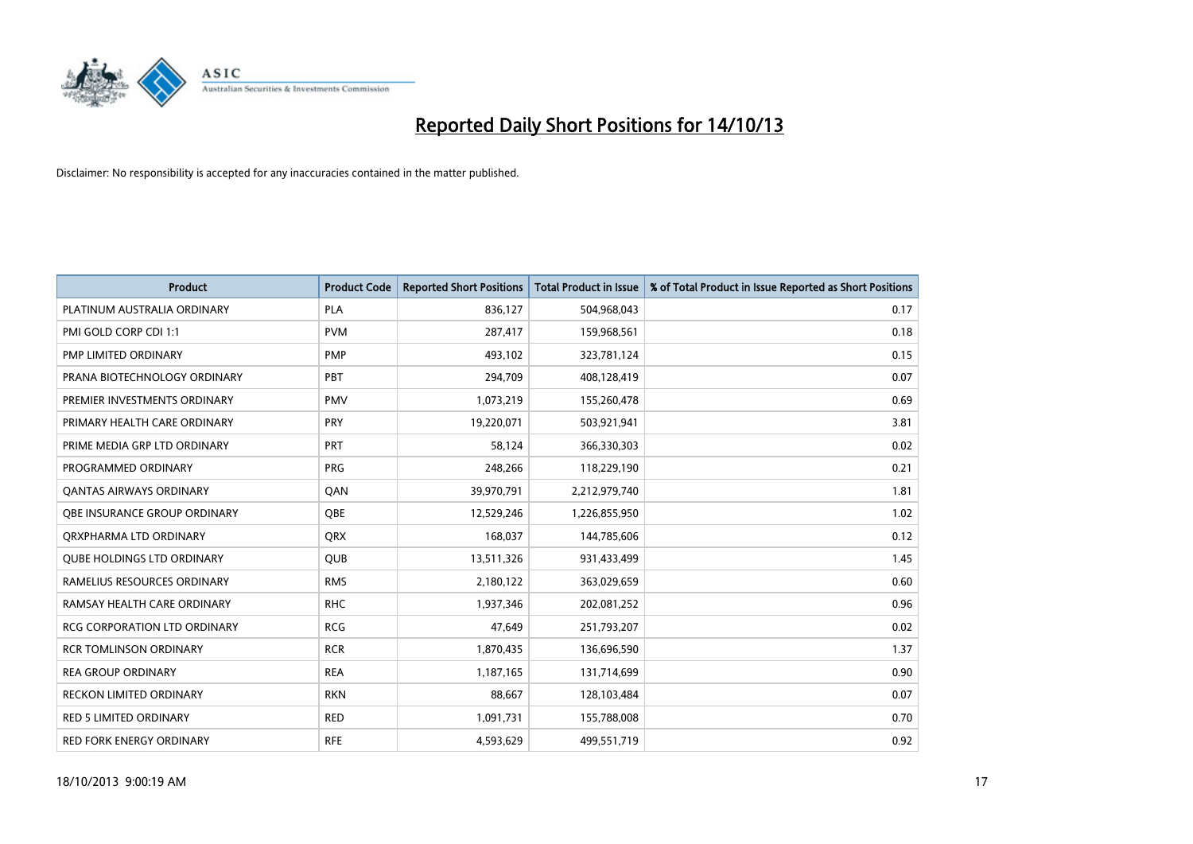

| <b>Product</b>                      | <b>Product Code</b> | <b>Reported Short Positions</b> | <b>Total Product in Issue</b> | % of Total Product in Issue Reported as Short Positions |
|-------------------------------------|---------------------|---------------------------------|-------------------------------|---------------------------------------------------------|
| PLATINUM AUSTRALIA ORDINARY         | <b>PLA</b>          | 836,127                         | 504,968,043                   | 0.17                                                    |
| PMI GOLD CORP CDI 1:1               | <b>PVM</b>          | 287,417                         | 159,968,561                   | 0.18                                                    |
| PMP LIMITED ORDINARY                | <b>PMP</b>          | 493,102                         | 323,781,124                   | 0.15                                                    |
| PRANA BIOTECHNOLOGY ORDINARY        | PBT                 | 294,709                         | 408,128,419                   | 0.07                                                    |
| PREMIER INVESTMENTS ORDINARY        | <b>PMV</b>          | 1,073,219                       | 155,260,478                   | 0.69                                                    |
| PRIMARY HEALTH CARE ORDINARY        | PRY                 | 19,220,071                      | 503,921,941                   | 3.81                                                    |
| PRIME MEDIA GRP LTD ORDINARY        | <b>PRT</b>          | 58,124                          | 366,330,303                   | 0.02                                                    |
| PROGRAMMED ORDINARY                 | <b>PRG</b>          | 248,266                         | 118,229,190                   | 0.21                                                    |
| <b>QANTAS AIRWAYS ORDINARY</b>      | QAN                 | 39,970,791                      | 2,212,979,740                 | 1.81                                                    |
| OBE INSURANCE GROUP ORDINARY        | <b>OBE</b>          | 12,529,246                      | 1,226,855,950                 | 1.02                                                    |
| ORXPHARMA LTD ORDINARY              | <b>QRX</b>          | 168,037                         | 144,785,606                   | 0.12                                                    |
| <b>QUBE HOLDINGS LTD ORDINARY</b>   | QUB                 | 13,511,326                      | 931,433,499                   | 1.45                                                    |
| RAMELIUS RESOURCES ORDINARY         | <b>RMS</b>          | 2,180,122                       | 363,029,659                   | 0.60                                                    |
| RAMSAY HEALTH CARE ORDINARY         | <b>RHC</b>          | 1,937,346                       | 202,081,252                   | 0.96                                                    |
| <b>RCG CORPORATION LTD ORDINARY</b> | <b>RCG</b>          | 47,649                          | 251,793,207                   | 0.02                                                    |
| <b>RCR TOMLINSON ORDINARY</b>       | <b>RCR</b>          | 1,870,435                       | 136,696,590                   | 1.37                                                    |
| <b>REA GROUP ORDINARY</b>           | <b>REA</b>          | 1,187,165                       | 131,714,699                   | 0.90                                                    |
| RECKON LIMITED ORDINARY             | <b>RKN</b>          | 88,667                          | 128,103,484                   | 0.07                                                    |
| <b>RED 5 LIMITED ORDINARY</b>       | <b>RED</b>          | 1,091,731                       | 155,788,008                   | 0.70                                                    |
| RED FORK ENERGY ORDINARY            | <b>RFE</b>          | 4,593,629                       | 499,551,719                   | 0.92                                                    |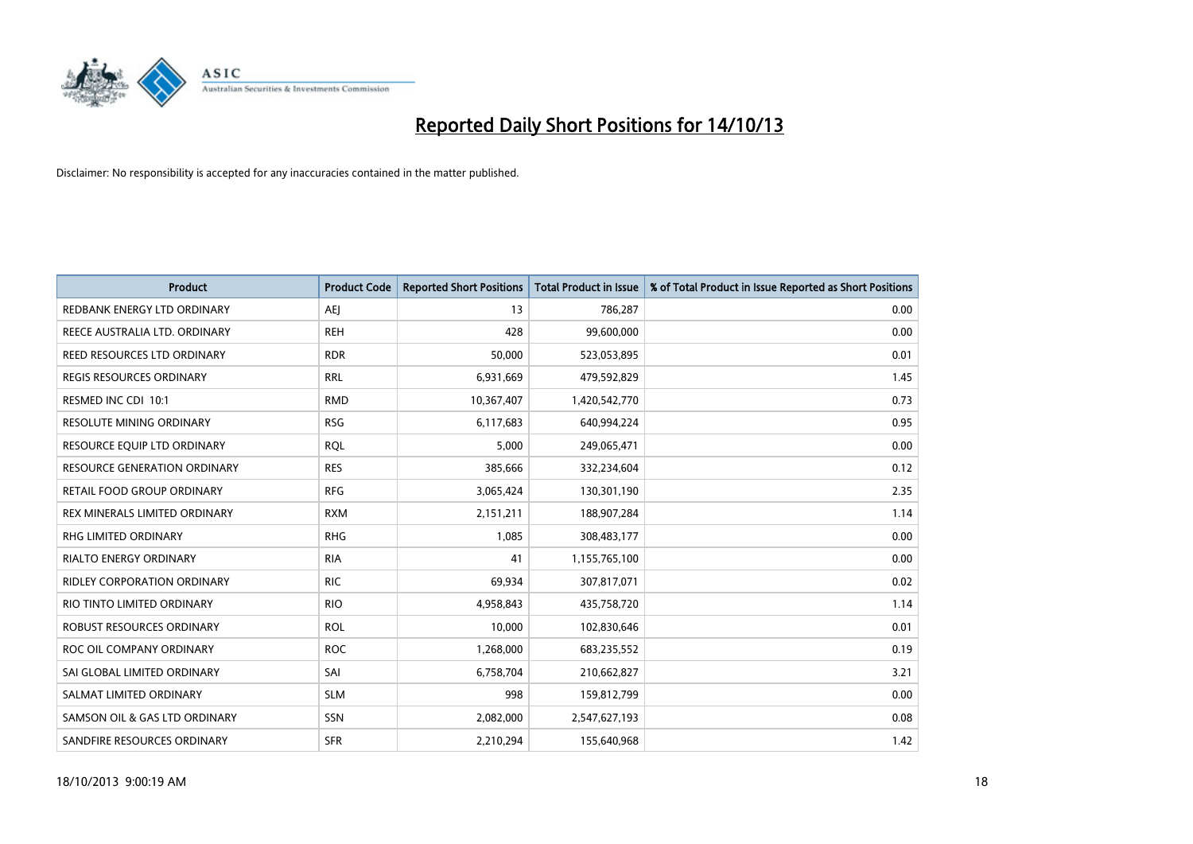

| Product                             | <b>Product Code</b> | <b>Reported Short Positions</b> | <b>Total Product in Issue</b> | % of Total Product in Issue Reported as Short Positions |
|-------------------------------------|---------------------|---------------------------------|-------------------------------|---------------------------------------------------------|
| REDBANK ENERGY LTD ORDINARY         | <b>AEJ</b>          | 13                              | 786,287                       | 0.00                                                    |
| REECE AUSTRALIA LTD. ORDINARY       | <b>REH</b>          | 428                             | 99,600,000                    | 0.00                                                    |
| REED RESOURCES LTD ORDINARY         | <b>RDR</b>          | 50,000                          | 523,053,895                   | 0.01                                                    |
| <b>REGIS RESOURCES ORDINARY</b>     | <b>RRL</b>          | 6,931,669                       | 479,592,829                   | 1.45                                                    |
| RESMED INC CDI 10:1                 | <b>RMD</b>          | 10,367,407                      | 1,420,542,770                 | 0.73                                                    |
| RESOLUTE MINING ORDINARY            | <b>RSG</b>          | 6,117,683                       | 640,994,224                   | 0.95                                                    |
| RESOURCE EQUIP LTD ORDINARY         | <b>RQL</b>          | 5,000                           | 249,065,471                   | 0.00                                                    |
| <b>RESOURCE GENERATION ORDINARY</b> | <b>RES</b>          | 385,666                         | 332,234,604                   | 0.12                                                    |
| RETAIL FOOD GROUP ORDINARY          | <b>RFG</b>          | 3,065,424                       | 130,301,190                   | 2.35                                                    |
| REX MINERALS LIMITED ORDINARY       | <b>RXM</b>          | 2,151,211                       | 188,907,284                   | 1.14                                                    |
| RHG LIMITED ORDINARY                | <b>RHG</b>          | 1,085                           | 308,483,177                   | 0.00                                                    |
| <b>RIALTO ENERGY ORDINARY</b>       | <b>RIA</b>          | 41                              | 1,155,765,100                 | 0.00                                                    |
| RIDLEY CORPORATION ORDINARY         | <b>RIC</b>          | 69,934                          | 307,817,071                   | 0.02                                                    |
| RIO TINTO LIMITED ORDINARY          | <b>RIO</b>          | 4,958,843                       | 435,758,720                   | 1.14                                                    |
| ROBUST RESOURCES ORDINARY           | <b>ROL</b>          | 10,000                          | 102,830,646                   | 0.01                                                    |
| ROC OIL COMPANY ORDINARY            | <b>ROC</b>          | 1,268,000                       | 683,235,552                   | 0.19                                                    |
| SAI GLOBAL LIMITED ORDINARY         | SAI                 | 6,758,704                       | 210,662,827                   | 3.21                                                    |
| SALMAT LIMITED ORDINARY             | <b>SLM</b>          | 998                             | 159,812,799                   | 0.00                                                    |
| SAMSON OIL & GAS LTD ORDINARY       | SSN                 | 2,082,000                       | 2,547,627,193                 | 0.08                                                    |
| SANDFIRE RESOURCES ORDINARY         | <b>SFR</b>          | 2,210,294                       | 155,640,968                   | 1.42                                                    |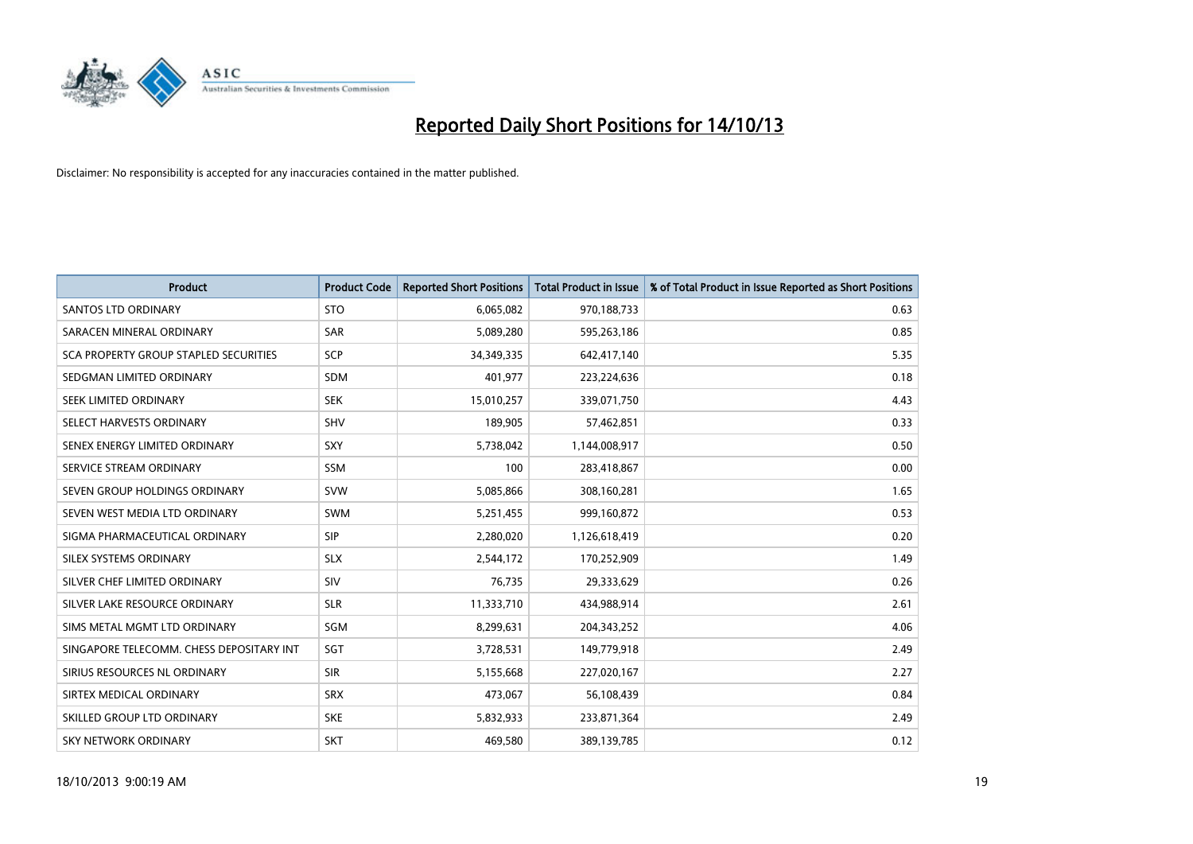

| <b>Product</b>                           | <b>Product Code</b> | <b>Reported Short Positions</b> | <b>Total Product in Issue</b> | % of Total Product in Issue Reported as Short Positions |
|------------------------------------------|---------------------|---------------------------------|-------------------------------|---------------------------------------------------------|
| <b>SANTOS LTD ORDINARY</b>               | <b>STO</b>          | 6,065,082                       | 970,188,733                   | 0.63                                                    |
| SARACEN MINERAL ORDINARY                 | <b>SAR</b>          | 5,089,280                       | 595,263,186                   | 0.85                                                    |
| SCA PROPERTY GROUP STAPLED SECURITIES    | SCP                 | 34,349,335                      | 642,417,140                   | 5.35                                                    |
| SEDGMAN LIMITED ORDINARY                 | <b>SDM</b>          | 401,977                         | 223,224,636                   | 0.18                                                    |
| SEEK LIMITED ORDINARY                    | <b>SEK</b>          | 15,010,257                      | 339,071,750                   | 4.43                                                    |
| SELECT HARVESTS ORDINARY                 | SHV                 | 189,905                         | 57,462,851                    | 0.33                                                    |
| SENEX ENERGY LIMITED ORDINARY            | <b>SXY</b>          | 5,738,042                       | 1,144,008,917                 | 0.50                                                    |
| SERVICE STREAM ORDINARY                  | SSM                 | 100                             | 283,418,867                   | 0.00                                                    |
| SEVEN GROUP HOLDINGS ORDINARY            | <b>SVW</b>          | 5,085,866                       | 308,160,281                   | 1.65                                                    |
| SEVEN WEST MEDIA LTD ORDINARY            | <b>SWM</b>          | 5,251,455                       | 999,160,872                   | 0.53                                                    |
| SIGMA PHARMACEUTICAL ORDINARY            | <b>SIP</b>          | 2,280,020                       | 1,126,618,419                 | 0.20                                                    |
| SILEX SYSTEMS ORDINARY                   | <b>SLX</b>          | 2,544,172                       | 170,252,909                   | 1.49                                                    |
| SILVER CHEF LIMITED ORDINARY             | SIV                 | 76,735                          | 29,333,629                    | 0.26                                                    |
| SILVER LAKE RESOURCE ORDINARY            | <b>SLR</b>          | 11,333,710                      | 434,988,914                   | 2.61                                                    |
| SIMS METAL MGMT LTD ORDINARY             | SGM                 | 8,299,631                       | 204,343,252                   | 4.06                                                    |
| SINGAPORE TELECOMM. CHESS DEPOSITARY INT | SGT                 | 3,728,531                       | 149,779,918                   | 2.49                                                    |
| SIRIUS RESOURCES NL ORDINARY             | <b>SIR</b>          | 5,155,668                       | 227,020,167                   | 2.27                                                    |
| SIRTEX MEDICAL ORDINARY                  | <b>SRX</b>          | 473,067                         | 56,108,439                    | 0.84                                                    |
| SKILLED GROUP LTD ORDINARY               | <b>SKE</b>          | 5,832,933                       | 233,871,364                   | 2.49                                                    |
| SKY NETWORK ORDINARY                     | <b>SKT</b>          | 469,580                         | 389,139,785                   | 0.12                                                    |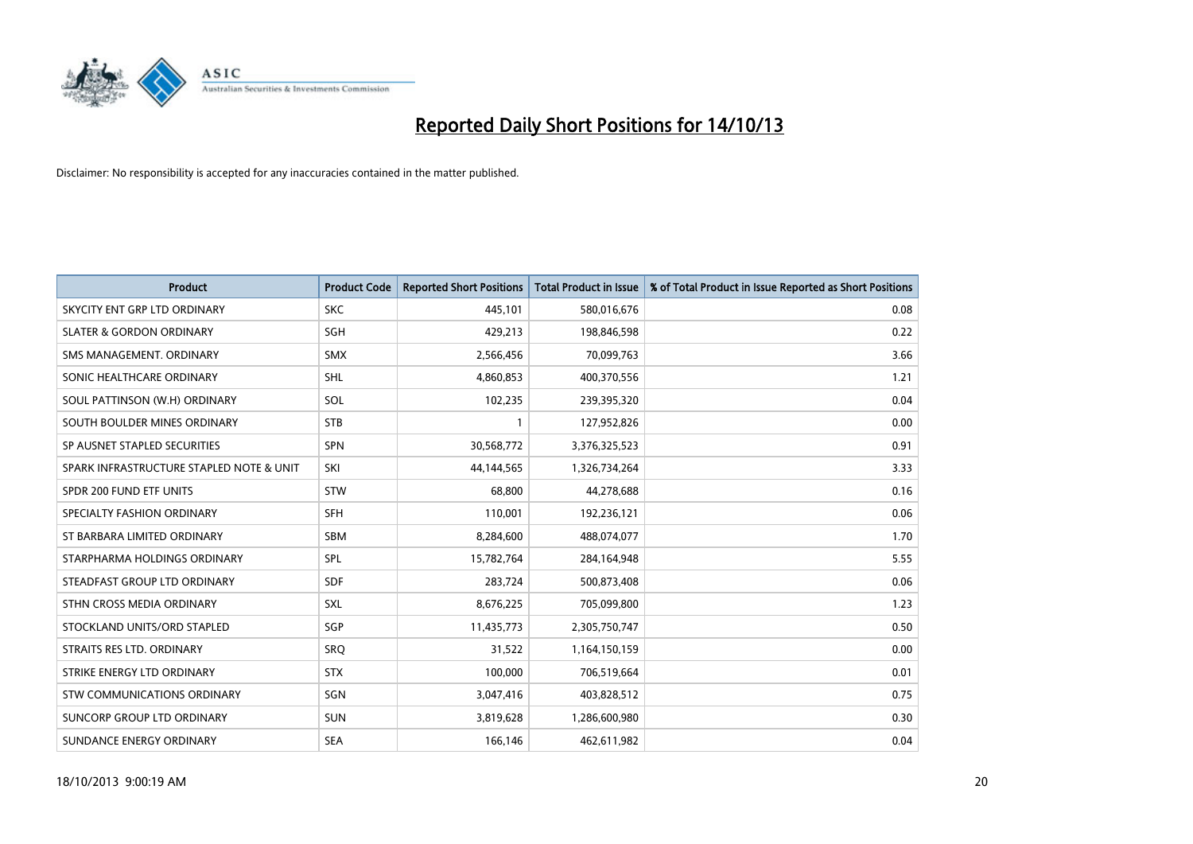

| <b>Product</b>                           | <b>Product Code</b> | <b>Reported Short Positions</b> | <b>Total Product in Issue</b> | % of Total Product in Issue Reported as Short Positions |
|------------------------------------------|---------------------|---------------------------------|-------------------------------|---------------------------------------------------------|
| SKYCITY ENT GRP LTD ORDINARY             | <b>SKC</b>          | 445,101                         | 580,016,676                   | 0.08                                                    |
| <b>SLATER &amp; GORDON ORDINARY</b>      | <b>SGH</b>          | 429,213                         | 198,846,598                   | 0.22                                                    |
| SMS MANAGEMENT. ORDINARY                 | <b>SMX</b>          | 2,566,456                       | 70,099,763                    | 3.66                                                    |
| SONIC HEALTHCARE ORDINARY                | SHL                 | 4,860,853                       | 400,370,556                   | 1.21                                                    |
| SOUL PATTINSON (W.H) ORDINARY            | SOL                 | 102,235                         | 239,395,320                   | 0.04                                                    |
| SOUTH BOULDER MINES ORDINARY             | <b>STB</b>          | 1                               | 127,952,826                   | 0.00                                                    |
| SP AUSNET STAPLED SECURITIES             | <b>SPN</b>          | 30,568,772                      | 3,376,325,523                 | 0.91                                                    |
| SPARK INFRASTRUCTURE STAPLED NOTE & UNIT | SKI                 | 44,144,565                      | 1,326,734,264                 | 3.33                                                    |
| SPDR 200 FUND ETF UNITS                  | <b>STW</b>          | 68,800                          | 44,278,688                    | 0.16                                                    |
| SPECIALTY FASHION ORDINARY               | SFH                 | 110,001                         | 192,236,121                   | 0.06                                                    |
| ST BARBARA LIMITED ORDINARY              | <b>SBM</b>          | 8,284,600                       | 488,074,077                   | 1.70                                                    |
| STARPHARMA HOLDINGS ORDINARY             | <b>SPL</b>          | 15,782,764                      | 284,164,948                   | 5.55                                                    |
| STEADFAST GROUP LTD ORDINARY             | <b>SDF</b>          | 283,724                         | 500,873,408                   | 0.06                                                    |
| STHN CROSS MEDIA ORDINARY                | SXL                 | 8,676,225                       | 705,099,800                   | 1.23                                                    |
| STOCKLAND UNITS/ORD STAPLED              | SGP                 | 11,435,773                      | 2,305,750,747                 | 0.50                                                    |
| STRAITS RES LTD. ORDINARY                | SRQ                 | 31,522                          | 1,164,150,159                 | 0.00                                                    |
| STRIKE ENERGY LTD ORDINARY               | <b>STX</b>          | 100,000                         | 706,519,664                   | 0.01                                                    |
| STW COMMUNICATIONS ORDINARY              | SGN                 | 3,047,416                       | 403,828,512                   | 0.75                                                    |
| SUNCORP GROUP LTD ORDINARY               | <b>SUN</b>          | 3,819,628                       | 1,286,600,980                 | 0.30                                                    |
| SUNDANCE ENERGY ORDINARY                 | <b>SEA</b>          | 166,146                         | 462,611,982                   | 0.04                                                    |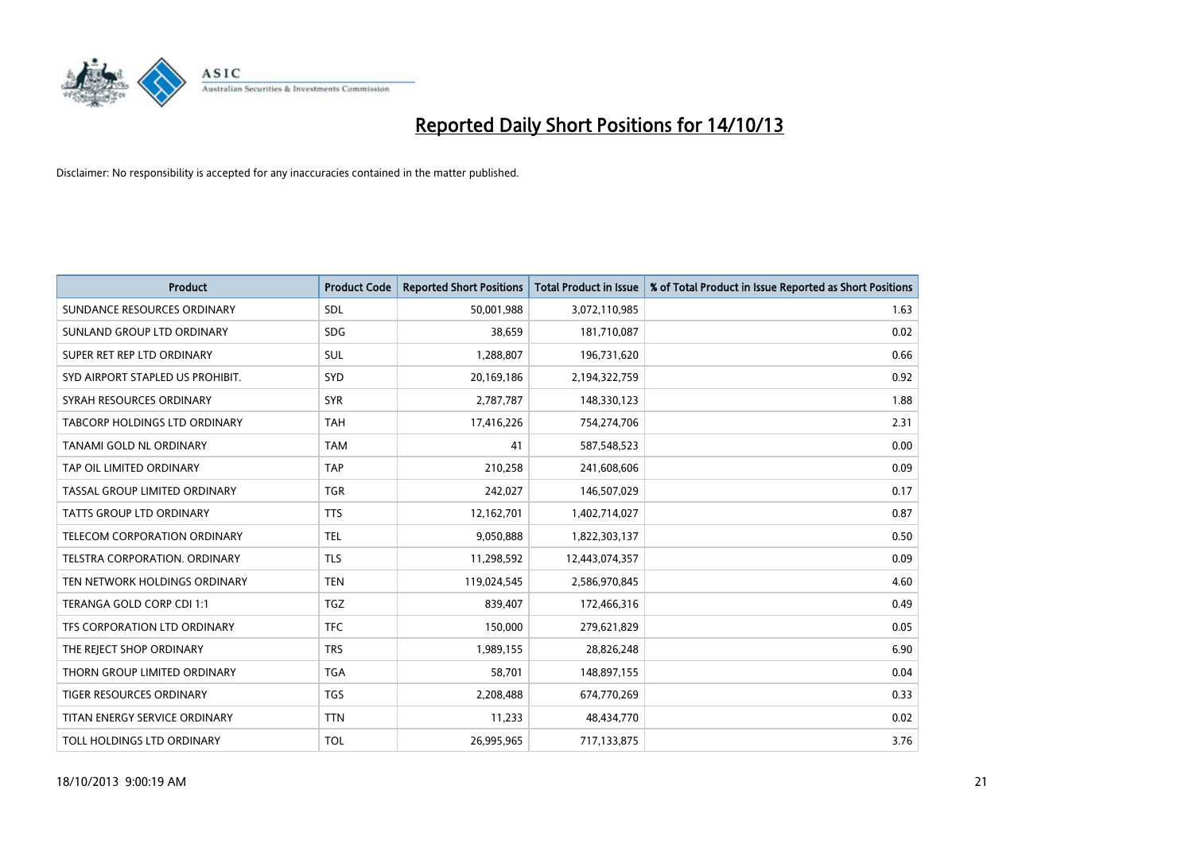

| <b>Product</b>                   | <b>Product Code</b> | <b>Reported Short Positions</b> | <b>Total Product in Issue</b> | % of Total Product in Issue Reported as Short Positions |
|----------------------------------|---------------------|---------------------------------|-------------------------------|---------------------------------------------------------|
| SUNDANCE RESOURCES ORDINARY      | <b>SDL</b>          | 50,001,988                      | 3,072,110,985                 | 1.63                                                    |
| SUNLAND GROUP LTD ORDINARY       | <b>SDG</b>          | 38,659                          | 181,710,087                   | 0.02                                                    |
| SUPER RET REP LTD ORDINARY       | SUL                 | 1,288,807                       | 196,731,620                   | 0.66                                                    |
| SYD AIRPORT STAPLED US PROHIBIT. | SYD                 | 20,169,186                      | 2,194,322,759                 | 0.92                                                    |
| SYRAH RESOURCES ORDINARY         | <b>SYR</b>          | 2,787,787                       | 148,330,123                   | 1.88                                                    |
| TABCORP HOLDINGS LTD ORDINARY    | <b>TAH</b>          | 17,416,226                      | 754,274,706                   | 2.31                                                    |
| TANAMI GOLD NL ORDINARY          | <b>TAM</b>          | 41                              | 587,548,523                   | 0.00                                                    |
| TAP OIL LIMITED ORDINARY         | <b>TAP</b>          | 210,258                         | 241,608,606                   | 0.09                                                    |
| TASSAL GROUP LIMITED ORDINARY    | <b>TGR</b>          | 242,027                         | 146,507,029                   | 0.17                                                    |
| <b>TATTS GROUP LTD ORDINARY</b>  | <b>TTS</b>          | 12,162,701                      | 1,402,714,027                 | 0.87                                                    |
| TELECOM CORPORATION ORDINARY     | <b>TEL</b>          | 9,050,888                       | 1,822,303,137                 | 0.50                                                    |
| TELSTRA CORPORATION. ORDINARY    | <b>TLS</b>          | 11,298,592                      | 12,443,074,357                | 0.09                                                    |
| TEN NETWORK HOLDINGS ORDINARY    | <b>TEN</b>          | 119,024,545                     | 2,586,970,845                 | 4.60                                                    |
| TERANGA GOLD CORP CDI 1:1        | <b>TGZ</b>          | 839,407                         | 172,466,316                   | 0.49                                                    |
| TFS CORPORATION LTD ORDINARY     | <b>TFC</b>          | 150,000                         | 279,621,829                   | 0.05                                                    |
| THE REJECT SHOP ORDINARY         | <b>TRS</b>          | 1,989,155                       | 28,826,248                    | 6.90                                                    |
| THORN GROUP LIMITED ORDINARY     | <b>TGA</b>          | 58,701                          | 148,897,155                   | 0.04                                                    |
| TIGER RESOURCES ORDINARY         | <b>TGS</b>          | 2,208,488                       | 674,770,269                   | 0.33                                                    |
| TITAN ENERGY SERVICE ORDINARY    | <b>TTN</b>          | 11,233                          | 48,434,770                    | 0.02                                                    |
| TOLL HOLDINGS LTD ORDINARY       | <b>TOL</b>          | 26,995,965                      | 717,133,875                   | 3.76                                                    |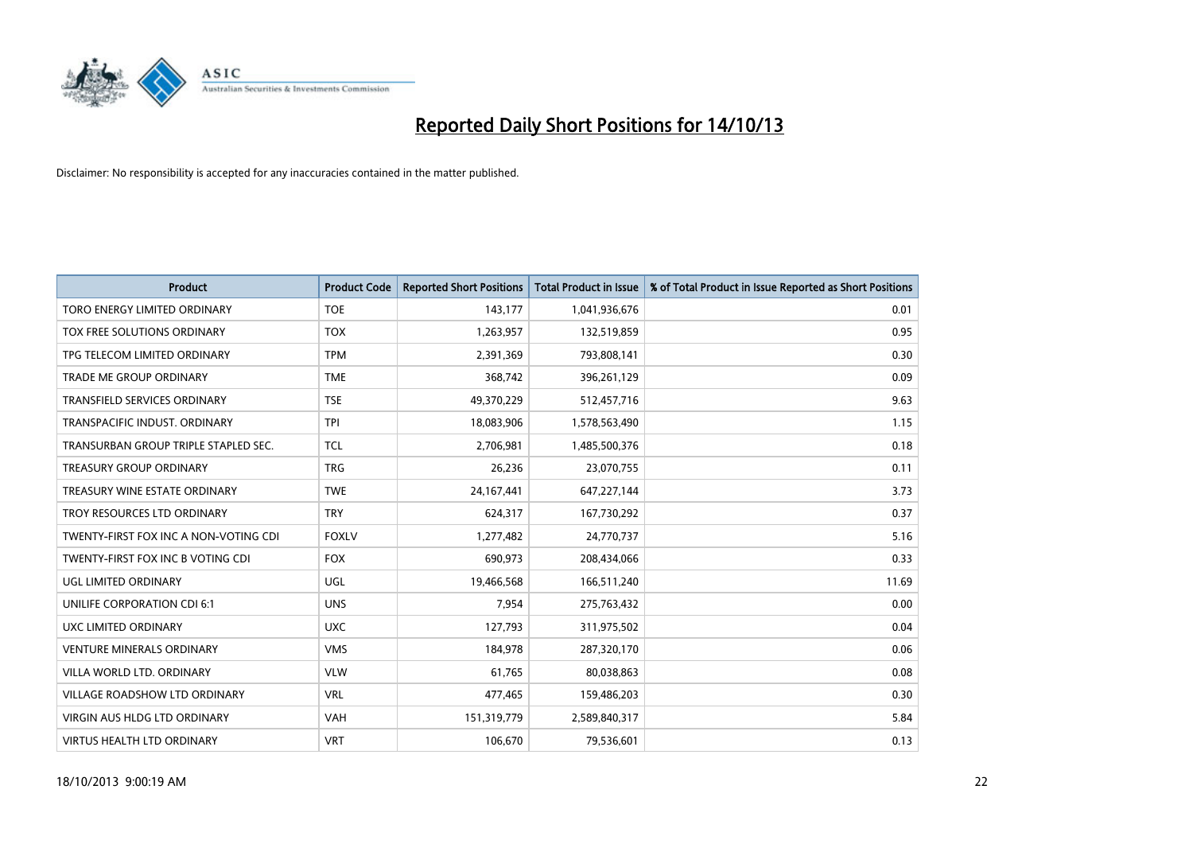

| <b>Product</b>                        | <b>Product Code</b> | <b>Reported Short Positions</b> | <b>Total Product in Issue</b> | % of Total Product in Issue Reported as Short Positions |
|---------------------------------------|---------------------|---------------------------------|-------------------------------|---------------------------------------------------------|
| TORO ENERGY LIMITED ORDINARY          | <b>TOE</b>          | 143,177                         | 1,041,936,676                 | 0.01                                                    |
| TOX FREE SOLUTIONS ORDINARY           | <b>TOX</b>          | 1,263,957                       | 132,519,859                   | 0.95                                                    |
| TPG TELECOM LIMITED ORDINARY          | <b>TPM</b>          | 2,391,369                       | 793,808,141                   | 0.30                                                    |
| <b>TRADE ME GROUP ORDINARY</b>        | <b>TME</b>          | 368,742                         | 396,261,129                   | 0.09                                                    |
| <b>TRANSFIELD SERVICES ORDINARY</b>   | <b>TSE</b>          | 49,370,229                      | 512,457,716                   | 9.63                                                    |
| TRANSPACIFIC INDUST, ORDINARY         | <b>TPI</b>          | 18,083,906                      | 1,578,563,490                 | 1.15                                                    |
| TRANSURBAN GROUP TRIPLE STAPLED SEC.  | <b>TCL</b>          | 2,706,981                       | 1,485,500,376                 | 0.18                                                    |
| <b>TREASURY GROUP ORDINARY</b>        | <b>TRG</b>          | 26,236                          | 23,070,755                    | 0.11                                                    |
| TREASURY WINE ESTATE ORDINARY         | <b>TWE</b>          | 24,167,441                      | 647,227,144                   | 3.73                                                    |
| TROY RESOURCES LTD ORDINARY           | <b>TRY</b>          | 624,317                         | 167,730,292                   | 0.37                                                    |
| TWENTY-FIRST FOX INC A NON-VOTING CDI | <b>FOXLV</b>        | 1,277,482                       | 24,770,737                    | 5.16                                                    |
| TWENTY-FIRST FOX INC B VOTING CDI     | <b>FOX</b>          | 690,973                         | 208,434,066                   | 0.33                                                    |
| UGL LIMITED ORDINARY                  | UGL                 | 19,466,568                      | 166,511,240                   | 11.69                                                   |
| UNILIFE CORPORATION CDI 6:1           | <b>UNS</b>          | 7,954                           | 275,763,432                   | 0.00                                                    |
| UXC LIMITED ORDINARY                  | <b>UXC</b>          | 127,793                         | 311,975,502                   | 0.04                                                    |
| <b>VENTURE MINERALS ORDINARY</b>      | <b>VMS</b>          | 184,978                         | 287,320,170                   | 0.06                                                    |
| VILLA WORLD LTD, ORDINARY             | <b>VLW</b>          | 61,765                          | 80,038,863                    | 0.08                                                    |
| <b>VILLAGE ROADSHOW LTD ORDINARY</b>  | <b>VRL</b>          | 477,465                         | 159,486,203                   | 0.30                                                    |
| VIRGIN AUS HLDG LTD ORDINARY          | <b>VAH</b>          | 151,319,779                     | 2,589,840,317                 | 5.84                                                    |
| <b>VIRTUS HEALTH LTD ORDINARY</b>     | <b>VRT</b>          | 106,670                         | 79,536,601                    | 0.13                                                    |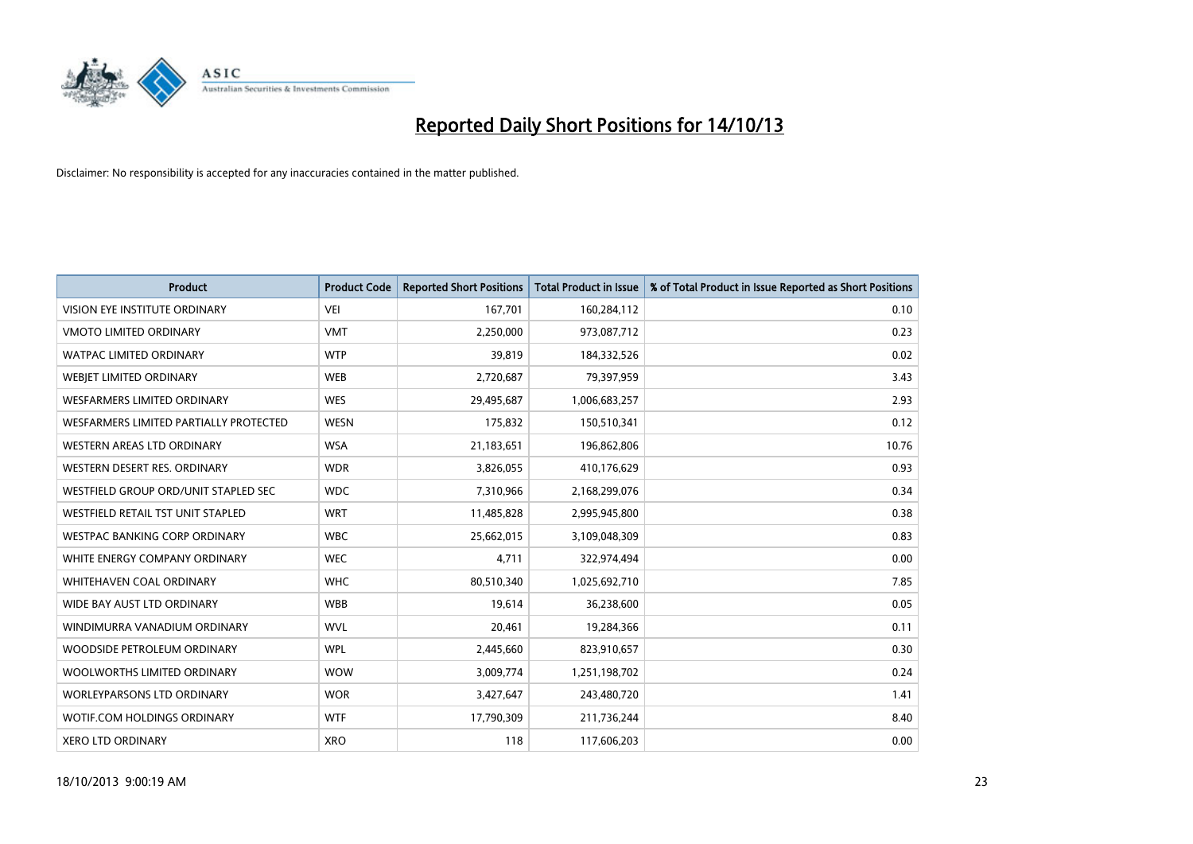

| <b>Product</b>                         | <b>Product Code</b> | <b>Reported Short Positions</b> | <b>Total Product in Issue</b> | % of Total Product in Issue Reported as Short Positions |
|----------------------------------------|---------------------|---------------------------------|-------------------------------|---------------------------------------------------------|
| VISION EYE INSTITUTE ORDINARY          | <b>VEI</b>          | 167,701                         | 160,284,112                   | 0.10                                                    |
| <b>VMOTO LIMITED ORDINARY</b>          | <b>VMT</b>          | 2,250,000                       | 973,087,712                   | 0.23                                                    |
| <b>WATPAC LIMITED ORDINARY</b>         | <b>WTP</b>          | 39,819                          | 184,332,526                   | 0.02                                                    |
| WEBIET LIMITED ORDINARY                | <b>WEB</b>          | 2,720,687                       | 79,397,959                    | 3.43                                                    |
| <b>WESFARMERS LIMITED ORDINARY</b>     | <b>WES</b>          | 29,495,687                      | 1,006,683,257                 | 2.93                                                    |
| WESFARMERS LIMITED PARTIALLY PROTECTED | <b>WESN</b>         | 175,832                         | 150,510,341                   | 0.12                                                    |
| WESTERN AREAS LTD ORDINARY             | <b>WSA</b>          | 21,183,651                      | 196,862,806                   | 10.76                                                   |
| WESTERN DESERT RES. ORDINARY           | <b>WDR</b>          | 3,826,055                       | 410,176,629                   | 0.93                                                    |
| WESTFIELD GROUP ORD/UNIT STAPLED SEC   | <b>WDC</b>          | 7,310,966                       | 2,168,299,076                 | 0.34                                                    |
| WESTFIELD RETAIL TST UNIT STAPLED      | <b>WRT</b>          | 11,485,828                      | 2,995,945,800                 | 0.38                                                    |
| <b>WESTPAC BANKING CORP ORDINARY</b>   | <b>WBC</b>          | 25,662,015                      | 3,109,048,309                 | 0.83                                                    |
| WHITE ENERGY COMPANY ORDINARY          | <b>WEC</b>          | 4,711                           | 322,974,494                   | 0.00                                                    |
| WHITEHAVEN COAL ORDINARY               | <b>WHC</b>          | 80,510,340                      | 1,025,692,710                 | 7.85                                                    |
| WIDE BAY AUST LTD ORDINARY             | <b>WBB</b>          | 19,614                          | 36,238,600                    | 0.05                                                    |
| WINDIMURRA VANADIUM ORDINARY           | <b>WVL</b>          | 20,461                          | 19,284,366                    | 0.11                                                    |
| WOODSIDE PETROLEUM ORDINARY            | <b>WPL</b>          | 2,445,660                       | 823,910,657                   | 0.30                                                    |
| WOOLWORTHS LIMITED ORDINARY            | <b>WOW</b>          | 3,009,774                       | 1,251,198,702                 | 0.24                                                    |
| WORLEYPARSONS LTD ORDINARY             | <b>WOR</b>          | 3,427,647                       | 243,480,720                   | 1.41                                                    |
| WOTIF.COM HOLDINGS ORDINARY            | <b>WTF</b>          | 17,790,309                      | 211,736,244                   | 8.40                                                    |
| <b>XERO LTD ORDINARY</b>               | <b>XRO</b>          | 118                             | 117,606,203                   | 0.00                                                    |